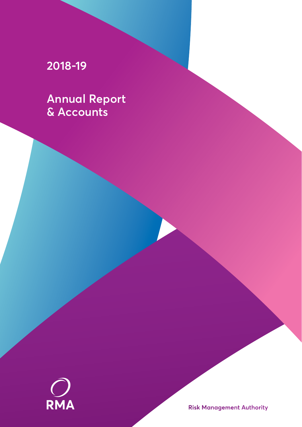# **2018-19**

**Annual Report & Accounts**



**Risk Management Authority**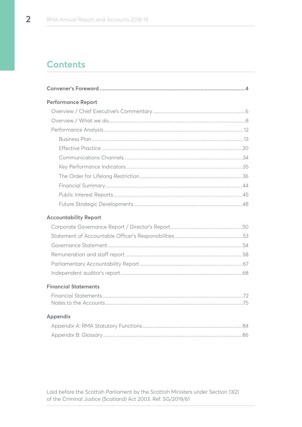# **Contents**

| <b>Performance Report</b>    |  |
|------------------------------|--|
|                              |  |
|                              |  |
|                              |  |
|                              |  |
|                              |  |
|                              |  |
|                              |  |
|                              |  |
|                              |  |
|                              |  |
|                              |  |
| <b>Accountability Report</b> |  |
|                              |  |
|                              |  |
|                              |  |
|                              |  |
|                              |  |
|                              |  |
| <b>Financial Statements</b>  |  |
|                              |  |
|                              |  |
| Appendix                     |  |
|                              |  |
|                              |  |

Laid before the Scottish Parliament by the Scottish Ministers under Section 13(2) of the Criminal Justice (Scotland) Act 2003. Ref. SG/2019/61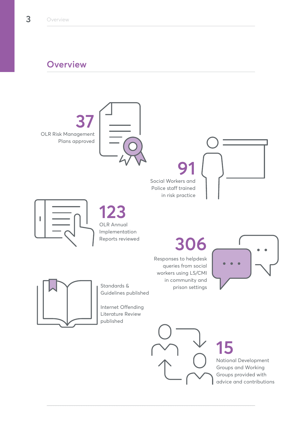# **Overview**

OLR Risk Management Plans approved **37**



# **91**

Social Workers and Police staff trained in risk practice





OLR Annual Implementation Reports reviewed **123**

# **306**

Responses to helpdesk queries from social workers using LS/CMI in community and prison settings





Standards & Guidelines published

Internet Offending Literature Review published



# **15**

National Development Groups and Working Groups provided with advice and contributions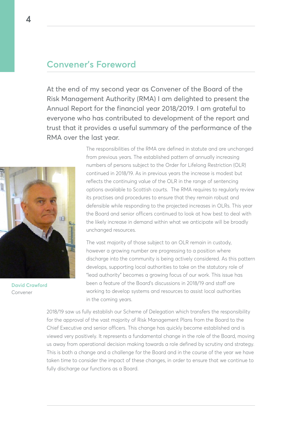# **Convener's Foreword**

At the end of my second year as Convener of the Board of the Risk Management Authority (RMA) I am delighted to present the Annual Report for the financial year 2018/2019. I am grateful to everyone who has contributed to development of the report and trust that it provides a useful summary of the performance of the RMA over the last year.



**David Crawford** Convener

The responsibilities of the RMA are defined in statute and are unchanged from previous years. The established pattern of annually increasing numbers of persons subject to the Order for Lifelong Restriction (OLR) continued in 2018/19. As in previous years the increase is modest but reflects the continuing value of the OLR in the range of sentencing options available to Scottish courts. The RMA requires to regularly review its practises and procedures to ensure that they remain robust and defensible while responding to the projected increases in OLRs. This year the Board and senior officers continued to look at how best to deal with the likely increase in demand within what we anticipate will be broadly unchanged resources.

The vast majority of those subject to an OLR remain in custody, however a growing number are progressing to a position where discharge into the community is being actively considered. As this pattern develops, supporting local authorities to take on the statutory role of "lead authority" becomes a growing focus of our work. This issue has been a feature of the Board's discussions in 2018/19 and staff are working to develop systems and resources to assist local authorities in the coming years.

2018/19 saw us fully establish our Scheme of Delegation which transfers the responsibility for the approval of the vast majority of Risk Management Plans from the Board to the Chief Executive and senior officers. This change has quickly become established and is viewed very positively. It represents a fundamental change in the role of the Board, moving us away from operational decision making towards a role defined by scrutiny and strategy. This is both a change and a challenge for the Board and in the course of the year we have taken time to consider the impact of these changes, in order to ensure that we continue to fully discharge our functions as a Board.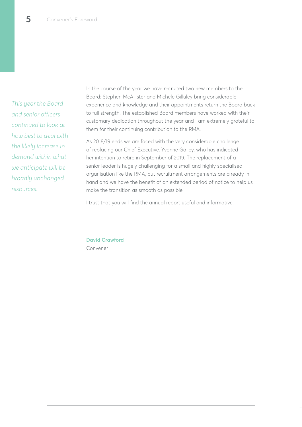*This year the Board and senior officers continued to look at how best to deal with the likely increase in demand within what we anticipate will be broadly unchanged resources.* 

In the course of the year we have recruited two new members to the Board: Stephen McAllister and Michele Gilluley bring considerable experience and knowledge and their appointments return the Board back to full strength. The established Board members have worked with their customary dedication throughout the year and I am extremely grateful to them for their continuing contribution to the RMA.

As 2018/19 ends we are faced with the very considerable challenge of replacing our Chief Executive, Yvonne Gailey, who has indicated her intention to retire in September of 2019. The replacement of a senior leader is hugely challenging for a small and highly specialised organisation like the RMA, but recruitment arrangements are already in hand and we have the benefit of an extended period of notice to help us make the transition as smooth as possible.

I trust that you will find the annual report useful and informative.

**David Crawford** Convener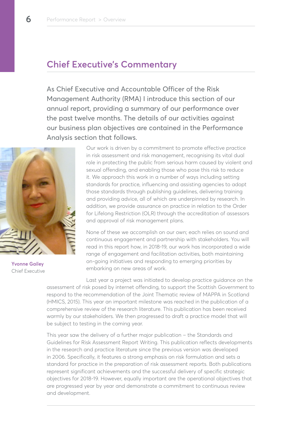# **Chief Executive's Commentary**

As Chief Executive and Accountable Officer of the Risk Management Authority (RMA) I introduce this section of our annual report, providing a summary of our performance over the past twelve months. The details of our activities against our business plan objectives are contained in the Performance Analysis section that follows.



Our work is driven by a commitment to promote effective practice in risk assessment and risk management, recognising its vital dual role in protecting the public from serious harm caused by violent and sexual offending, and enabling those who pose this risk to reduce it. We approach this work in a number of ways including setting standards for practice, influencing and assisting agencies to adopt those standards through publishing guidelines, delivering training and providing advice, all of which are underpinned by research. In addition, we provide assurance on practice in relation to the Order for Lifelong Restriction (OLR) through the accreditation of assessors and approval of risk management plans.

None of these we accomplish on our own; each relies on sound and continuous engagement and partnership with stakeholders. You will read in this report how, in 2018-19, our work has incorporated a wide range of engagement and facilitation activities, both maintaining on-going initiatives and responding to emerging priorities by embarking on new areas of work.

Last year a project was initiated to develop practice guidance on the assessment of risk posed by internet offending, to support the Scottish Government to respond to the recommendation of the Joint Thematic review of MAPPA in Scotland (HMICS, 2015). This year an important milestone was reached in the publication of a comprehensive review of the research literature. This publication has been received warmly by our stakeholders. We then progressed to draft a practice model that will be subject to testing in the coming year.

This year saw the delivery of a further major publication – the Standards and Guidelines for Risk Assessment Report Writing. This publication reflects developments in the research and practice literature since the previous version was developed in 2006. Specifically, it features a strong emphasis on risk formulation and sets a standard for practice in the preparation of risk assessment reports. Both publications represent significant achievements and the successful delivery of specific strategic objectives for 2018-19. However, equally important are the operational objectives that are progressed year by year and demonstrate a commitment to continuous review and development.

**Yvonne Gailey** Chief Executive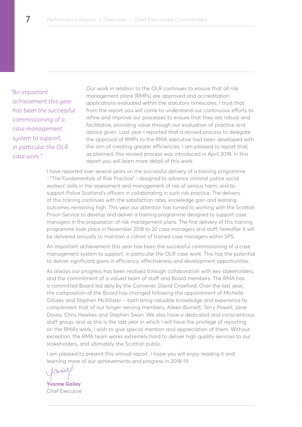*"An important achievement this year has been the successful commissioning of a case management system to support, in particular the OLR case work."*

Our work in relation to the OLR continues to ensure that all risk management plans (RMPs) are approved and accreditation applications evaluated within the statutory timescales. I trust that from the report you will come to understand our continuous efforts to refine and improve our processes to ensure that they are robust and facilitative, providing value through our evaluation of practice and advice given. Last year I reported that a revised process to delegate the approval of RMPs to the RMA executive had been developed with the aim of creating greater efficiencies. I am pleased to report that, as planned, this revised process was introduced in April 2018. In this report you will learn more detail of this work.

I have reported over several years on the successful delivery of a training programme - "The Fundamentals of Risk Practice" - designed to advance criminal justice social workers' skills in the assessment and management of risk of serious harm, and to support Police Scotland's officers in collaborating in such risk practice. The delivery of this training continues with the satisfaction rates, knowledge gain and learning outcomes remaining high. This year our attention has turned to working with the Scottish Prison Service to develop and deliver a training programme designed to support case managers in the preparation of risk management plans. The first delivery of this training programme took place in November 2018 to 20 case managers and staff; hereafter it will be delivered annually to maintain a cohort of trained case managers within SPS.

An important achievement this year has been the successful commissioning of a case management system to support, in particular the OLR case work. This has the potential to deliver significant gains in efficiency, effectiveness and development opportunities.

As always our progress has been realised through collaboration with key stakeholders, and the commitment of a valued team of staff and Board members. The RMA has a committed Board led ably by the Convener, David Crawford. Over the last year, the composition of the Board has changed following the appointment of Michelle Gilluley and Stephen McAllister – both bring valuable knowledge and experience to complement that of our longer-serving members, Aileen Burnett, Terry Powell, Jane Davey, Chris Hawkes and Stephen Swan. We also have a dedicated and conscientious staff group, and as this is the last year in which I will have the privilege of reporting on the RMA's work, I wish to give special mention and appreciation of them. Without exception, the RMA team works extremely hard to deliver high quality services to our stakeholders, and ultimately the Scottish public.

I am pleased to present this annual report. I hope you will enjoy reading it and learning more of our achievements and progress in 2018-19.

lamy

**Yvonne Gailey** Chief Executive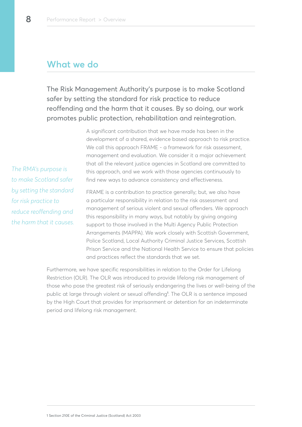# **What we do**

The Risk Management Authority's purpose is to make Scotland safer by setting the standard for risk practice to reduce reoffending and the harm that it causes. By so doing, our work promotes public protection, rehabilitation and reintegration.

> A significant contribution that we have made has been in the development of a shared, evidence based approach to risk practice. We call this approach FRAME - a framework for risk assessment, management and evaluation. We consider it a major achievement that all the relevant justice agencies in Scotland are committed to this approach, and we work with those agencies continuously to find new ways to advance consistency and effectiveness.

*The RMA's purpose is to make Scotland safer by setting the standard for risk practice to reduce reoffending and the harm that it causes.*

FRAME is a contribution to practice generally; but, we also have a particular responsibility in relation to the risk assessment and management of serious violent and sexual offenders. We approach this responsibility in many ways, but notably by giving ongoing support to those involved in the Multi Agency Public Protection Arrangements (MAPPA). We work closely with Scottish Government, Police Scotland, Local Authority Criminal Justice Services, Scottish Prison Service and the National Health Service to ensure that policies and practices reflect the standards that we set.

Furthermore, we have specific responsibilities in relation to the Order for Lifelong Restriction (OLR). The OLR was introduced to provide lifelong risk management of those who pose the greatest risk of seriously endangering the lives or well-being of the public at large through violent or sexual offending**<sup>1</sup>** . The OLR is a sentence imposed by the High Court that provides for imprisonment or detention for an indeterminate period and lifelong risk management.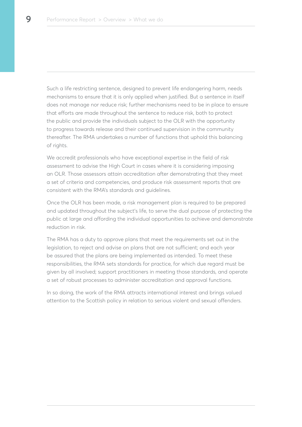Such a life restricting sentence, designed to prevent life endangering harm, needs mechanisms to ensure that it is only applied when justified. But a sentence in itself does not manage nor reduce risk; further mechanisms need to be in place to ensure that efforts are made throughout the sentence to reduce risk, both to protect the public and provide the individuals subject to the OLR with the opportunity to progress towards release and their continued supervision in the community thereafter. The RMA undertakes a number of functions that uphold this balancing of rights.

We accredit professionals who have exceptional expertise in the field of risk assessment to advise the High Court in cases where it is considering imposing an OLR. Those assessors attain accreditation after demonstrating that they meet a set of criteria and competencies, and produce risk assessment reports that are consistent with the RMA's standards and guidelines.

Once the OLR has been made, a risk management plan is required to be prepared and updated throughout the subject's life, to serve the dual purpose of protecting the public at large and affording the individual opportunities to achieve and demonstrate reduction in risk.

The RMA has a duty to approve plans that meet the requirements set out in the legislation, to reject and advise on plans that are not sufficient; and each year be assured that the plans are being implemented as intended. To meet these responsibilities, the RMA sets standards for practice, for which due regard must be given by all involved; support practitioners in meeting those standards, and operate a set of robust processes to administer accreditation and approval functions.

In so doing, the work of the RMA attracts international interest and brings valued attention to the Scottish policy in relation to serious violent and sexual offenders.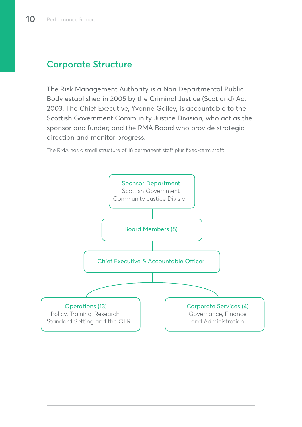# **Corporate Structure**

The Risk Management Authority is a Non Departmental Public Body established in 2005 by the Criminal Justice (Scotland) Act 2003. The Chief Executive, Yvonne Gailey, is accountable to the Scottish Government Community Justice Division, who act as the sponsor and funder; and the RMA Board who provide strategic direction and monitor progress.

The RMA has a small structure of 18 permanent staff plus fixed-term staff:

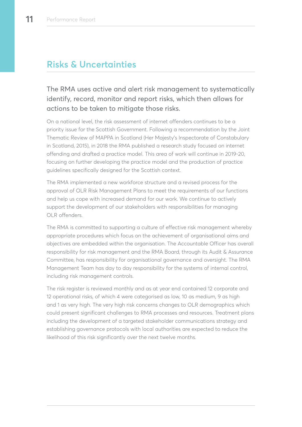# **Risks & Uncertainties**

The RMA uses active and alert risk management to systematically identify, record, monitor and report risks, which then allows for actions to be taken to mitigate those risks.

On a national level, the risk assessment of internet offenders continues to be a priority issue for the Scottish Government. Following a recommendation by the Joint Thematic Review of MAPPA in Scotland (Her Majesty's Inspectorate of Constabulary in Scotland, 2015), in 2018 the RMA published a research study focused on internet offending and drafted a practice model. This area of work will continue in 2019-20, focusing on further developing the practice model and the production of practice guidelines specifically designed for the Scottish context.

The RMA implemented a new workforce structure and a revised process for the approval of OLR Risk Management Plans to meet the requirements of our functions and help us cope with increased demand for our work. We continue to actively support the development of our stakeholders with responsibilities for managing OLR offenders.

The RMA is committed to supporting a culture of effective risk management whereby appropriate procedures which focus on the achievement of organisational aims and objectives are embedded within the organisation. The Accountable Officer has overall responsibility for risk management and the RMA Board, through its Audit & Assurance Committee, has responsibility for organisational governance and oversight. The RMA Management Team has day to day responsibility for the systems of internal control, including risk management controls.

The risk register is reviewed monthly and as at year end contained 12 corporate and 12 operational risks, of which 4 were categorised as low, 10 as medium, 9 as high and 1 as very high. The very high risk concerns changes to OLR demographics which could present significant challenges to RMA processes and resources. Treatment plans including the development of a targeted stakeholder communications strategy and establishing governance protocols with local authorities are expected to reduce the likelihood of this risk significantly over the next twelve months.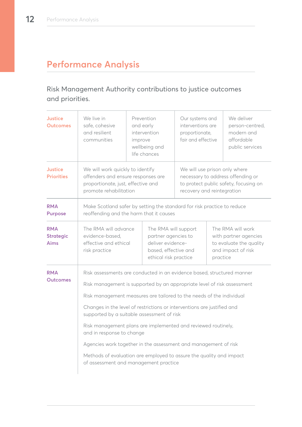# **Performance Analysis**

# Risk Management Authority contributions to justice outcomes and priorities.

| <b>Justice</b><br><b>Outcomes</b>      | We live in<br>safe, cohesive<br>and resilient<br>communities                                                                                                                                                                                                                                                                                                                                                                                                                                                                                                                                                                        | improve | Prevention<br>and early<br>intervention<br>wellbeing and<br>life chances                                                                  | Our systems and<br>interventions are<br>proportionate,<br>fair and effective |                                                                                             | We deliver<br>person-centred,<br>modern and<br>affordable<br>public services |
|----------------------------------------|-------------------------------------------------------------------------------------------------------------------------------------------------------------------------------------------------------------------------------------------------------------------------------------------------------------------------------------------------------------------------------------------------------------------------------------------------------------------------------------------------------------------------------------------------------------------------------------------------------------------------------------|---------|-------------------------------------------------------------------------------------------------------------------------------------------|------------------------------------------------------------------------------|---------------------------------------------------------------------------------------------|------------------------------------------------------------------------------|
| Justice<br><b>Priorities</b>           | We will work quickly to identify<br>offenders and ensure responses are<br>proportionate, just, effective and<br>promote rehabilitation                                                                                                                                                                                                                                                                                                                                                                                                                                                                                              |         | We will use prison only where<br>necessary to address offending or<br>to protect public safety, focusing on<br>recovery and reintegration |                                                                              |                                                                                             |                                                                              |
| <b>RMA</b><br><b>Purpose</b>           | Make Scotland safer by setting the standard for risk practice to reduce<br>reoffending and the harm that it causes                                                                                                                                                                                                                                                                                                                                                                                                                                                                                                                  |         |                                                                                                                                           |                                                                              |                                                                                             |                                                                              |
| <b>RMA</b><br><b>Strategic</b><br>Aims | The RMA will advance<br>evidence-based,<br>effective and ethical<br>risk practice                                                                                                                                                                                                                                                                                                                                                                                                                                                                                                                                                   |         | The RMA will support<br>partner agencies to<br>deliver evidence-<br>based, effective and<br>ethical risk practice<br>practice             |                                                                              | The RMA will work<br>with partner agencies<br>to evaluate the quality<br>and impact of risk |                                                                              |
| <b>RMA</b><br><b>Outcomes</b>          | Risk assessments are conducted in an evidence based, structured manner<br>Risk management is supported by an appropriate level of risk assessment<br>Risk management measures are tailored to the needs of the individual<br>Changes in the level of restrictions or interventions are justified and<br>supported by a suitable assessment of risk<br>Risk management plans are implemented and reviewed routinely,<br>and in response to change<br>Agencies work together in the assessment and management of risk<br>Methods of evaluation are employed to assure the quality and impact<br>of assessment and management practice |         |                                                                                                                                           |                                                                              |                                                                                             |                                                                              |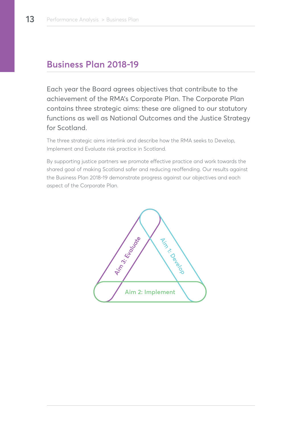# **Business Plan 2018-19**

Each year the Board agrees objectives that contribute to the achievement of the RMA's Corporate Plan. The Corporate Plan contains three strategic aims: these are aligned to our statutory functions as well as National Outcomes and the Justice Strategy for Scotland.

The three strategic aims interlink and describe how the RMA seeks to Develop, Implement and Evaluate risk practice in Scotland.

By supporting justice partners we promote effective practice and work towards the shared goal of making Scotland safer and reducing reoffending. Our results against the Business Plan 2018-19 demonstrate progress against our objectives and each aspect of the Corporate Plan.

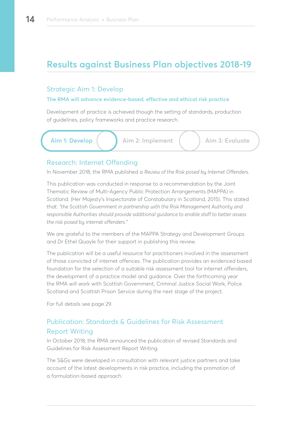# **Results against Business Plan objectives 2018-19**

# Strategic Aim 1: Develop

#### **The RMA will advance evidence-based, effective and ethical risk practice**

Development of practice is achieved though the setting of standards, production of guidelines, policy frameworks and practice research.

**Aim 1: Develop**  $\begin{pmatrix} 1 & 1 \\ 1 & 2 \end{pmatrix}$  Aim 2: Implement  $\begin{pmatrix} 1 & 1 \\ 1 & 2 \end{pmatrix}$  Aim 3: Evaluate

# Research: Internet Offending

In November 2018, the RMA published a *Review of the Risk posed by Internet Offenders*.

This publication was conducted in response to a recommendation by the Joint Thematic Review of Multi-Agency Public Protection Arrangements (MAPPA) in Scotland. (Her Majesty's Inspectorate of Constabulary in Scotland, 2015). This stated that: *"the Scottish Government in partnership with the Risk Management Authority and responsible Authorities should provide additional guidance to enable staff to better assess the risk posed by internet offenders."*

We are grateful to the members of the MAPPA Strategy and Development Groups and Dr Ethel Quayle for their support in publishing this review.

The publication will be a useful resource for practitioners involved in the assessment of those convicted of internet offences. The publication provides an evidenced based foundation for the selection of a suitable risk assessment tool for internet offenders, the development of a practice model and guidance. Over the forthcoming year the RMA will work with Scottish Government, Criminal Justice Social Work, Police Scotland and Scottish Prison Service during the next stage of the project.

For full details see page 29.

# Publication: Standards & Guidelines for Risk Assessment Report Writing

In October 2018, the RMA announced the publication of revised Standards and Guidelines for Risk Assessment Report Writing.

The S&Gs were developed in consultation with relevant justice partners and take account of the latest developments in risk practice, including the promotion of a formulation-based approach.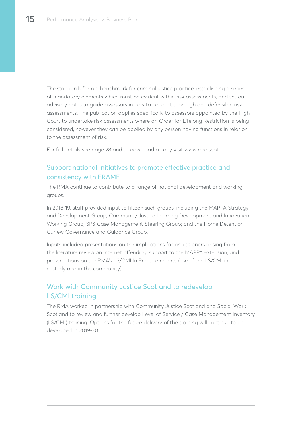The standards form a benchmark for criminal justice practice, establishing a series of mandatory elements which must be evident within risk assessments, and set out advisory notes to guide assessors in how to conduct thorough and defensible risk assessments. The publication applies specifically to assessors appointed by the High Court to undertake risk assessments where an Order for Lifelong Restriction is being considered, however they can be applied by any person having functions in relation to the assessment of risk.

For full details see page 28 and to download a copy visit www.rma.scot

# Support national initiatives to promote effective practice and consistency with FRAME

The RMA continue to contribute to a range of national development and working groups.

In 2018-19, staff provided input to fifteen such groups, including the MAPPA Strategy and Development Group; Community Justice Learning Development and Innovation Working Group; SPS Case Management Steering Group; and the Home Detention Curfew Governance and Guidance Group.

Inputs included presentations on the implications for practitioners arising from the literature review on internet offending, support to the MAPPA extension, and presentations on the RMA's LS/CMI In Practice reports (use of the LS/CMI in custody and in the community).

# Work with Community Justice Scotland to redevelop LS/CMI training

The RMA worked in partnership with Community Justice Scotland and Social Work Scotland to review and further develop Level of Service / Case Management Inventory (LS/CMI) training. Options for the future delivery of the training will continue to be developed in 2019-20.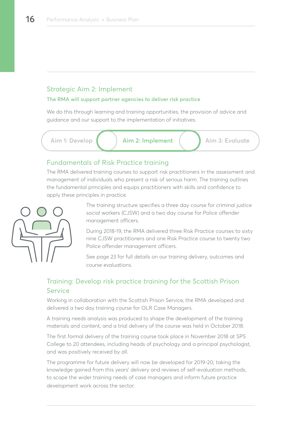# Strategic Aim 2: Implement

#### **The RMA will support partner agencies to deliver risk practice**

We do this through learning and training opportunities, the provision of advice and guidance and our support to the implementation of initiatives.

Aim 1: Develop  $\begin{pmatrix} 1 & 1 \\ 1 & 2 \end{pmatrix}$  **Aim 2: Implement**  $\begin{pmatrix} 1 & 1 \\ 1 & 2 \end{pmatrix}$  Aim 3: Evaluate

# Fundamentals of Risk Practice training

The RMA delivered training courses to support risk practitioners in the assessment and management of individuals who present a risk of serious harm. The training outlines the fundamental principles and equips practitioners with skills and confidence to apply these principles in practice.



The training structure specifies a three day course for criminal justice social workers (CJSW) and a two day course for Police offender management officers.

During 2018-19, the RMA delivered three Risk Practice courses to sixty nine CJSW practitioners and one Risk Practice course to twenty two Police offender management officers.

See page 23 for full details on our training delivery, outcomes and course evaluations.

# Training: Develop risk practice training for the Scottish Prison **Service**

Working in collaboration with the Scottish Prison Service, the RMA developed and delivered a two day training course for OLR Case Managers.

A training needs analysis was produced to shape the development of the training materials and content, and a trial delivery of the course was held in October 2018.

The first formal delivery of the training course took place in November 2018 at SPS College to 20 attendees, including heads of psychology and a principal psychologist, and was positively received by all.

The programme for future delivery will now be developed for 2019-20; taking the knowledge gained from this years' delivery and reviews of self-evaluation methods, to scope the wider training needs of case managers and inform future practice development work across the sector.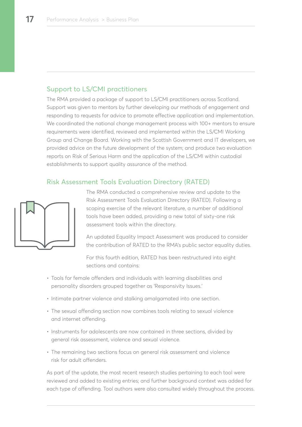## Support to LS/CMI practitioners

The RMA provided a package of support to LS/CMI practitioners across Scotland. Support was given to mentors by further developing our methods of engagement and responding to requests for advice to promote effective application and implementation. We coordinated the national change management process with 100+ mentors to ensure requirements were identified, reviewed and implemented within the LS/CMI Working Group and Change Board. Working with the Scottish Government and IT developers, we provided advice on the future development of the system; and produce two evaluation reports on Risk of Serious Harm and the application of the LS/CMI within custodial establishments to support quality assurance of the method.

# Risk Assessment Tools Evaluation Directory (RATED)



The RMA conducted a comprehensive review and update to the Risk Assessment Tools Evaluation Directory (RATED). Following a scoping exercise of the relevant literature, a number of additional tools have been added, providing a new total of sixty-one risk assessment tools within the directory.

An updated Equality Impact Assessment was produced to consider the contribution of RATED to the RMA's public sector equality duties.

For this fourth edition, RATED has been restructured into eight sections and contains:

- Tools for female offenders and individuals with learning disabilities and personality disorders grouped together as 'Responsivity Issues.'
- Intimate partner violence and stalking amalgamated into one section.
- The sexual offending section now combines tools relating to sexual violence and internet offending.
- Instruments for adolescents are now contained in three sections, divided by general risk assessment, violence and sexual violence.
- The remaining two sections focus on general risk assessment and violence risk for adult offenders.

As part of the update, the most recent research studies pertaining to each tool were reviewed and added to existing entries; and further background context was added for each type of offending. Tool authors were also consulted widely throughout the process.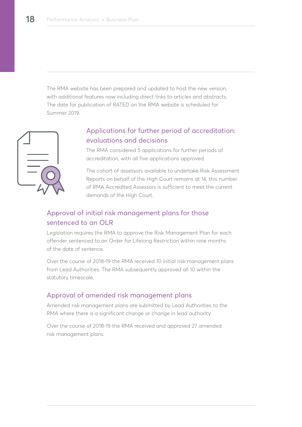The RMA website has been prepared and updated to host the new version, with additional features now including direct links to articles and abstracts. The date for publication of RATED on the RMA website is scheduled for Summer 2019.



# Applications for further period of accreditation: evaluations and decisions

The RMA considered 5 applications for further periods of accreditation, with all five applications approved.

The cohort of assessors available to undertake Risk Assessment Reports on behalf of the High Court remains at 14; this number of RMA Accredited Assessors is sufficient to meet the current demands of the High Court.

# Approval of initial risk management plans for those sentenced to an OLR

Legislation requires the RMA to approve the Risk Management Plan for each offender sentenced to an Order for Lifelong Restriction within nine months of the date of sentence.

Over the course of 2018-19 the RMA received 10 initial risk management plans from Lead Authorities. The RMA subsequently approved all 10 within the statutory timescale.

# Approval of amended risk management plans

Amended risk management plans are submitted by Lead Authorities to the RMA where there is a significant change or change in lead authority.

Over the course of 2018-19 the RMA received and approved 27 amended risk management plans.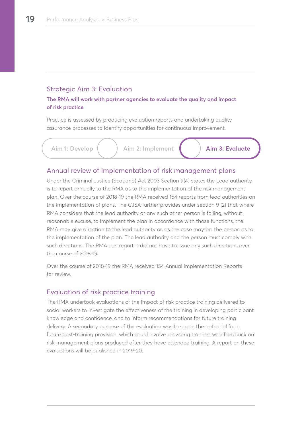## Strategic Aim 3: Evaluation

#### **The RMA will work with partner agencies to evaluate the quality and impact of risk practice**

Practice is assessed by producing evaluation reports and undertaking quality assurance processes to identify opportunities for continuous improvement.



Aim 1: Develop  $\begin{pmatrix} 1 & 1 \end{pmatrix}$  Aim 2: Implement  $\begin{pmatrix} 1 & 1 \end{pmatrix}$  **Aim 3: Evaluate** 

#### Annual review of implementation of risk management plans

Under the Criminal Justice (Scotland) Act 2003 Section 9(4) states the Lead authority is to report annually to the RMA as to the implementation of the risk management plan. Over the course of 2018-19 the RMA received 154 reports from lead authorities on the implementation of plans. The CJSA further provides under section 9 (2) that where RMA considers that the lead authority or any such other person is failing, without reasonable excuse, to implement the plan in accordance with those functions, the RMA may give direction to the lead authority or, as the case may be, the person as to the implementation of the plan. The lead authority and the person must comply with such directions. The RMA can report it did not have to issue any such directions over the course of 2018-19.

Over the course of 2018-19 the RMA received 154 Annual Implementation Reports for review.

## Evaluation of risk practice training

The RMA undertook evaluations of the impact of risk practice training delivered to social workers to investigate the effectiveness of the training in developing participant knowledge and confidence, and to inform recommendations for future training delivery. A secondary purpose of the evaluation was to scope the potential for a future post-training provision, which could involve providing trainees with feedback on risk management plans produced after they have attended training. A report on these evaluations will be published in 2019-20.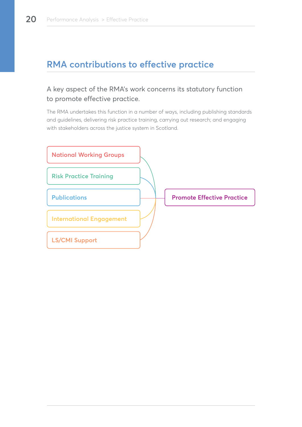# **RMA contributions to effective practice**

# A key aspect of the RMA's work concerns its statutory function to promote effective practice.

The RMA undertakes this function in a number of ways, including publishing standards and guidelines, delivering risk practice training, carrying out research; and engaging with stakeholders across the justice system in Scotland.

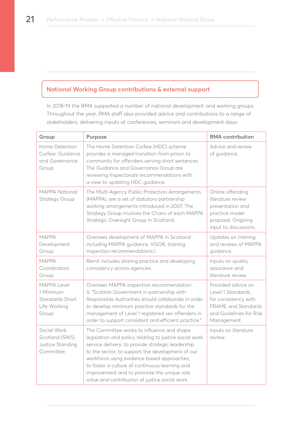# **National Working Group contributions & external support**

In 2018-19 the RMA supported a number of national development and working groups. Throughout the year, RMA staff also provided advice and contributions to a range of stakeholders; delivering inputs at conferences, seminars and development days.

| Group                                                                | Purpose                                                                                                                                                                                                                                                                                                                                                                                                        | <b>RMA</b> contribution                                                                                                                  |
|----------------------------------------------------------------------|----------------------------------------------------------------------------------------------------------------------------------------------------------------------------------------------------------------------------------------------------------------------------------------------------------------------------------------------------------------------------------------------------------------|------------------------------------------------------------------------------------------------------------------------------------------|
| Home Detention<br>Curfew: Guidance<br>and Governance<br>Group        | The Home Detention Curfew (HDC) scheme<br>provides a managed transition from prison to<br>community for offenders serving short sentences.<br>The Guidance and Governance Group are<br>reviewing Inspectorate recommendations with<br>a view to updating HDC guidance.                                                                                                                                         | Advice and review<br>of guidance.                                                                                                        |
| <b>MAPPA National</b><br><b>Strategy Group</b>                       | The Multi-Agency Public Protection Arrangements<br>(MAPPA), are a set of statutory partnership<br>working arrangements introduced in 2007. The<br>Strategy Group involves the Chairs of each MAPPA<br>Strategic Oversight Group in Scotland.                                                                                                                                                                   | Online offending<br>literature review<br>presentation and<br>practice model<br>proposal. Ongoing<br>input to discussions.                |
| <b>MAPPA</b><br>Development<br>Group                                 | Oversees development of MAPPA in Scotland<br>including MAPPA guidance, ViSOR, training,<br>inspection recommendations.)                                                                                                                                                                                                                                                                                        | Updates on training<br>and reviews of MAPPA<br>guidance.                                                                                 |
| <b>MAPPA</b><br>Coordinators<br>Group                                | Remit includes sharing practice and developing<br>consistency across agencies.                                                                                                                                                                                                                                                                                                                                 | Inputs on quality<br>assurance and<br>literature review.                                                                                 |
| MAPPA Level<br>1 Minimum<br>Standards Short<br>Life Working<br>Group | Oversees MAPPA inspection recommendation<br>5: "Scottish Government in partnership with<br>Responsible Authorities should collaborate in order<br>to develop minimum practice standards for the<br>management of Level 1 registered sex offenders in<br>order to support consistent and efficient practice."                                                                                                   | Provided advice on<br>Level 1 Standards,<br>for consistency with<br><b>FRAME</b> and Standards<br>and Guidelines for Risk<br>Management. |
| Social Work<br>Scotland (SWS)<br>Justice Standing<br>Committee       | The Committee works to influence and shape<br>legislation and policy relating to justice social work<br>service delivery; to provide strategic leadership<br>to the sector; to support the development of our<br>workforce using evidence based approaches;<br>to foster a culture of continuous learning and<br>improvement and to promote the unique role,<br>value and contribution of justice social work. | Inputs on literature<br>review.                                                                                                          |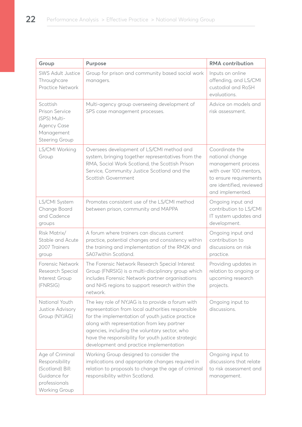| Group                                                                                                   | <b>Purpose</b>                                                                                                                                                                                                                                                                                                                                             | <b>RMA</b> contribution                                                                                                                                     |
|---------------------------------------------------------------------------------------------------------|------------------------------------------------------------------------------------------------------------------------------------------------------------------------------------------------------------------------------------------------------------------------------------------------------------------------------------------------------------|-------------------------------------------------------------------------------------------------------------------------------------------------------------|
| <b>SWS Adult Justice</b><br>Throughcare<br>Practice Network                                             | Group for prison and community based social work<br>managers.                                                                                                                                                                                                                                                                                              | Inputs on online<br>offending, and LS/CMI<br>custodial and RoSH<br>evaluations.                                                                             |
| Scottish<br>Prison Service<br>(SPS) Multi-<br><b>Agency Case</b><br>Management<br><b>Steering Group</b> | Multi-agency group overseeing development of<br>SPS case management processes.                                                                                                                                                                                                                                                                             | Advice on models and<br>risk assessment.                                                                                                                    |
| LS/CMI Working<br>Group                                                                                 | Oversees development of LS/CMI method and<br>system, bringing together representatives from the<br>RMA, Social Work Scotland, the Scottish Prison<br>Service, Community Justice Scotland and the<br>Scottish Government                                                                                                                                    | Coordinate the<br>national change<br>management process<br>with over 100 mentors,<br>to ensure requirements<br>are identified, reviewed<br>and implemented. |
| LS/CMI System<br>Change Board<br>and Cadence<br>groups                                                  | Promotes consistent use of the LS/CMI method<br>between prison, community and MAPPA                                                                                                                                                                                                                                                                        | Ongoing input and<br>contribution to LS/CMI<br>IT system updates and<br>development.                                                                        |
| Risk Matrix/<br>Stable and Acute<br>2007 Trainers<br>group                                              | A forum where trainers can discuss current<br>practice, potential changes and consistency within<br>the training and implementation of the RM2K and<br>SA07within Scotland.                                                                                                                                                                                | Ongoing input and<br>contribution to<br>discussions on risk<br>practice.                                                                                    |
| Forensic Network<br>Research Special<br>Interest Group<br>(FNRSIG)                                      | The Forensic Network Research Special Interest<br>Group (FNRSIG) is a multi-disciplinary group which<br>includes Forensic Network partner organisations<br>and NHS regions to support research within the<br>network.                                                                                                                                      | Providing updates in<br>relation to ongoing or<br>upcoming research<br>projects.                                                                            |
| National Youth<br>Justice Advisory<br>Group (NYJAG)                                                     | The key role of NYJAG is to provide a forum with<br>representation from local authorities responsible<br>for the implementation of youth justice practice<br>along with representation from key partner<br>agencies, including the voluntary sector, who<br>have the responsibility for youth justice strategic<br>development and practice implementation | Ongoing input to<br>discussions.                                                                                                                            |
| Age of Criminal<br>Responsibility<br>(Scotland) Bill:<br>Guidance for<br>professionals<br>Working Group | Working Group designed to consider the<br>implications and appropriate changes required in<br>relation to proposals to change the age of criminal<br>responsibility within Scotland.                                                                                                                                                                       | Ongoing input to<br>discussions that relate<br>to risk assessment and<br>management.                                                                        |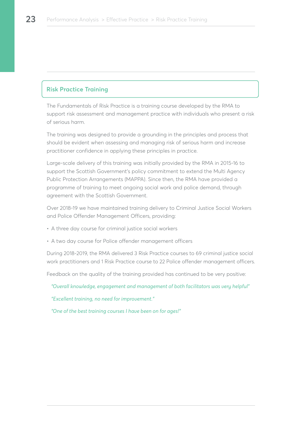#### **Risk Practice Training**

The Fundamentals of Risk Practice is a training course developed by the RMA to support risk assessment and management practice with individuals who present a risk of serious harm.

The training was designed to provide a grounding in the principles and process that should be evident when assessing and managing risk of serious harm and increase practitioner confidence in applying these principles in practice.

Large-scale delivery of this training was initially provided by the RMA in 2015-16 to support the Scottish Government's policy commitment to extend the Multi Agency Public Protection Arrangements (MAPPA). Since then, the RMA have provided a programme of training to meet ongoing social work and police demand, through agreement with the Scottish Government.

Over 2018-19 we have maintained training delivery to Criminal Justice Social Workers and Police Offender Management Officers, providing:

- A three day course for criminal justice social workers
- A two day course for Police offender management officers

During 2018-2019, the RMA delivered 3 Risk Practice courses to 69 criminal justice social work practitioners and 1 Risk Practice course to 22 Police offender management officers.

Feedback on the quality of the training provided has continued to be very positive:

*"Overall knowledge, engagement and management of both facilitators was very helpful"*

*"Excellent training, no need for improvement."*

*"One of the best training courses I have been on for ages!"*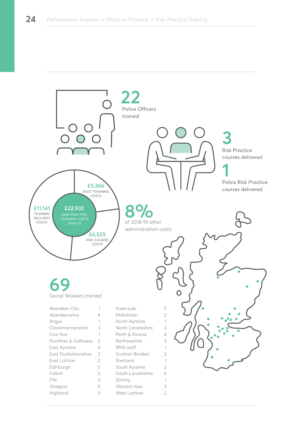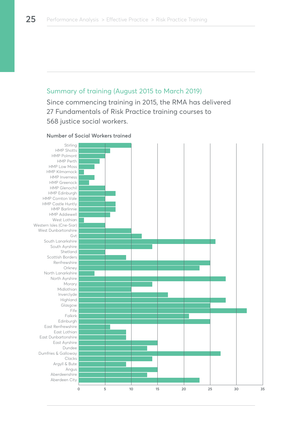## Summary of training (August 2015 to March 2019)

Since commencing training in 2015, the RMA has delivered 27 Fundamentals of Risk Practice training courses to 568 justice social workers.

#### **Number of Social Workers trained**

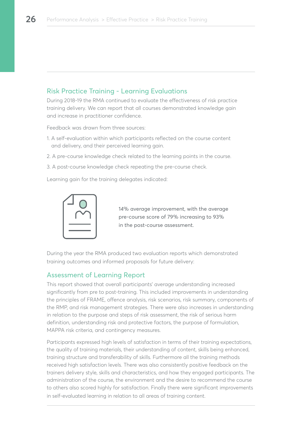# Risk Practice Training - Learning Evaluations

During 2018-19 the RMA continued to evaluate the effectiveness of risk practice training delivery. We can report that all courses demonstrated knowledge gain and increase in practitioner confidence.

Feedback was drawn from three sources:

- 1. A self-evaluation within which participants reflected on the course content and delivery, and their perceived learning gain.
- 2. A pre-course knowledge check related to the learning points in the course.
- 3. A post-course knowledge check repeating the pre-course check.

Learning gain for the training delegates indicated:



14% average improvement, with the average pre-course score of 79% increasing to 93% in the post-course assessment.

During the year the RMA produced two evaluation reports which demonstrated training outcomes and informed proposals for future delivery:

#### Assessment of Learning Report

This report showed that overall participants' average understanding increased significantly from pre to post-training. This included improvements in understanding the principles of FRAME, offence analysis, risk scenarios, risk summary, components of the RMP, and risk management strategies. There were also increases in understanding in relation to the purpose and steps of risk assessment, the risk of serious harm definition, understanding risk and protective factors, the purpose of formulation, MAPPA risk criteria, and contingency measures.

Participants expressed high levels of satisfaction in terms of their training expectations, the quality of training materials, their understanding of content, skills being enhanced, training structure and transferability of skills. Furthermore all the training methods received high satisfaction levels. There was also consistently positive feedback on the trainers delivery style, skills and characteristics, and how they engaged participants. The administration of the course, the environment and the desire to recommend the course to others also scored highly for satisfaction. Finally there were significant improvements in self-evaluated learning in relation to all areas of training content.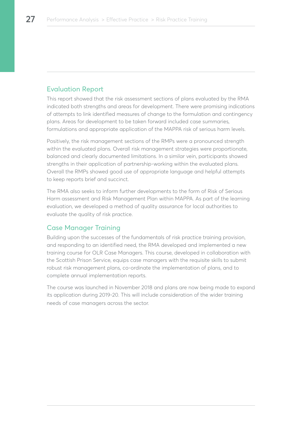# Evaluation Report

This report showed that the risk assessment sections of plans evaluated by the RMA indicated both strengths and areas for development. There were promising indications of attempts to link identified measures of change to the formulation and contingency plans. Areas for development to be taken forward included case summaries, formulations and appropriate application of the MAPPA risk of serious harm levels.

Positively, the risk management sections of the RMPs were a pronounced strength within the evaluated plans. Overall risk management strategies were proportionate, balanced and clearly documented limitations. In a similar vein, participants showed strengths in their application of partnership-working within the evaluated plans. Overall the RMPs showed good use of appropriate language and helpful attempts to keep reports brief and succinct.

The RMA also seeks to inform further developments to the form of Risk of Serious Harm assessment and Risk Management Plan within MAPPA. As part of the learning evaluation, we developed a method of quality assurance for local authorities to evaluate the quality of risk practice.

## Case Manager Training

Building upon the successes of the fundamentals of risk practice training provision, and responding to an identified need, the RMA developed and implemented a new training course for OLR Case Managers. This course, developed in collaboration with the Scottish Prison Service, equips case managers with the requisite skills to submit robust risk management plans, co-ordinate the implementation of plans, and to complete annual implementation reports.

The course was launched in November 2018 and plans are now being made to expand its application during 2019-20. This will include consideration of the wider training needs of case managers across the sector.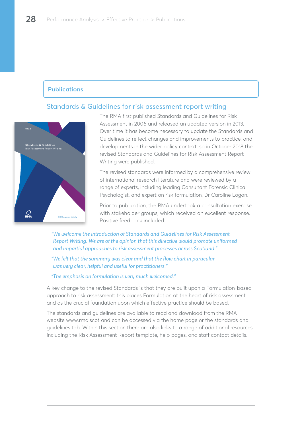#### **Publications**

# Standards & Guidelines for risk assessment report writing



The RMA first published Standards and Guidelines for Risk Assessment in 2006 and released an updated version in 2013. Over time it has become necessary to update the Standards and Guidelines to reflect changes and improvements to practice, and developments in the wider policy context; so in October 2018 the revised Standards and Guidelines for Risk Assessment Report Writing were published.

The revised standards were informed by a comprehensive review of international research literature and were reviewed by a range of experts, including leading Consultant Forensic Clinical Psychologist, and expert on risk formulation, Dr Caroline Logan.

Prior to publication, the RMA undertook a consultation exercise with stakeholder groups, which received an excellent response. Positive feedback included:

*"We welcome the introduction of Standards and Guidelines for Risk Assessment Report Writing. We are of the opinion that this directive would promote uniformed and impartial approaches to risk assessment processes across Scotland."* 

*"We felt that the summary was clear and that the flow chart in particular was very clear, helpful and useful for practitioners."*

#### *"The emphasis on formulation is very much welcomed."*

A key change to the revised Standards is that they are built upon a Formulation-based approach to risk assessment: this places Formulation at the heart of risk assessment and as the crucial foundation upon which effective practice should be based.

The standards and guidelines are available to read and download from the RMA website www.rma.scot and can be accessed via the home page or the standards and guidelines tab. Within this section there are also links to a range of additional resources including the Risk Assessment Report template, help pages, and staff contact details.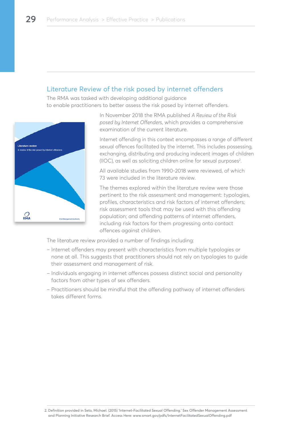## Literature Review of the risk posed by internet offenders

The RMA was tasked with developing additional guidance to enable practitioners to better assess the risk posed by internet offenders.



In November 2018 the RMA published *A Review of the Risk posed by Internet Offenders*, which provides a comprehensive examination of the current literature.

Internet offending in this context encompasses a range of different sexual offences facilitated by the internet. This includes possessing, exchanging, distributing and producing indecent images of children  $(110C)$ , as well as soliciting children online for sexual purposes<sup>2</sup>.

All available studies from 1990-2018 were reviewed, of which 73 were included in the literature review.

The themes explored within the literature review were those pertinent to the risk assessment and management: typologies, profiles, characteristics and risk factors of internet offenders; risk assessment tools that may be used with this offending population; and offending patterns of internet offenders, including risk factors for them progressing onto contact offences against children.

The literature review provided a number of findings including:

- Internet offenders may present with characteristics from multiple typologies or none at all. This suggests that practitioners should not rely on typologies to guide their assessment and management of risk.
- Individuals engaging in internet offences possess distinct social and personality factors from other types of sex offenders.
- Practitioners should be mindful that the offending pathway of internet offenders takes different forms.

<sup>2.</sup> Definition provided in Seto, Michael. (2015) 'Internet-Facilitated Sexual Offending.' Sex Offender Management Assessment and Planning Initiative Research Brief. Access Here: www.smart.gov/pdfs/InternetFacilitatedSexualOffending.pdf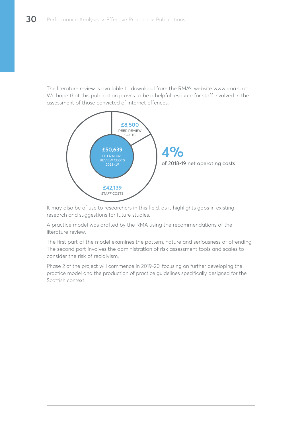The literature review is available to download from the RMA's website www.rma.scot We hope that this publication proves to be a helpful resource for staff involved in the assessment of those convicted of internet offences.



It may also be of use to researchers in this field, as it highlights gaps in existing research and suggestions for future studies.

A practice model was drafted by the RMA using the recommendations of the literature review.

The first part of the model examines the pattern, nature and seriousness of offending. The second part involves the administration of risk assessment tools and scales to consider the risk of recidivism.

Phase 2 of the project will commence in 2019-20, focusing on further developing the practice model and the production of practice guidelines specifically designed for the Scottish context.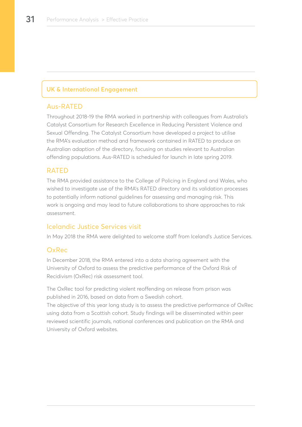### **UK & International Engagement**

## Aus-RATED

Throughout 2018-19 the RMA worked in partnership with colleagues from Australia's Catalyst Consortium for Research Excellence in Reducing Persistent Violence and Sexual Offending. The Catalyst Consortium have developed a project to utilise the RMA's evaluation method and framework contained in RATED to produce an Australian adaption of the directory, focusing on studies relevant to Australian offending populations. Aus-RATED is scheduled for launch in late spring 2019.

#### RATED

The RMA provided assistance to the College of Policing in England and Wales, who wished to investigate use of the RMA's RATED directory and its validation processes to potentially inform national guidelines for assessing and managing risk. This work is ongoing and may lead to future collaborations to share approaches to risk assessment.

## Icelandic Justice Services visit

In May 2018 the RMA were delighted to welcome staff from Iceland's Justice Services.

#### OxRec

In December 2018, the RMA entered into a data sharing agreement with the University of Oxford to assess the predictive performance of the Oxford Risk of Recidivism (OxRec) risk assessment tool.

The OxRec tool for predicting violent reoffending on release from prison was published in 2016, based on data from a Swedish cohort.

The objective of this year long study is to assess the predictive performance of OxRec using data from a Scottish cohort. Study findings will be disseminated within peer reviewed scientific journals, national conferences and publication on the RMA and University of Oxford websites.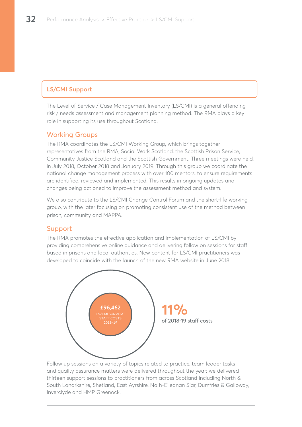# **LS/CMI Support**

The Level of Service / Case Management Inventory (LS/CMI) is a general offending risk / needs assessment and management planning method. The RMA plays a key role in supporting its use throughout Scotland.

#### Working Groups

The RMA coordinates the LS/CMI Working Group, which brings together representatives from the RMA, Social Work Scotland, the Scottish Prison Service, Community Justice Scotland and the Scottish Government. Three meetings were held, in July 2018, October 2018 and January 2019. Through this group we coordinate the national change management process with over 100 mentors, to ensure requirements are identified, reviewed and implemented. This results in ongoing updates and changes being actioned to improve the assessment method and system.

We also contribute to the LS/CMI Change Control Forum and the short-life working group, with the later focusing on promoting consistent use of the method between prison, community and MAPPA.

#### Support

The RMA promotes the effective application and implementation of LS/CMI by providing comprehensive online guidance and delivering follow on sessions for staff based in prisons and local authorities. New content for LS/CMI practitioners was developed to coincide with the launch of the new RMA website in June 2018.



Follow up sessions on a variety of topics related to practice, team leader tasks and quality assurance matters were delivered throughout the year: we delivered thirteen support sessions to practitioners from across Scotland including North & South Lanarkshire, Shetland, East Ayrshire, Na h-Eileanan Siar, Dumfries & Galloway, Inverclyde and HMP Greenock.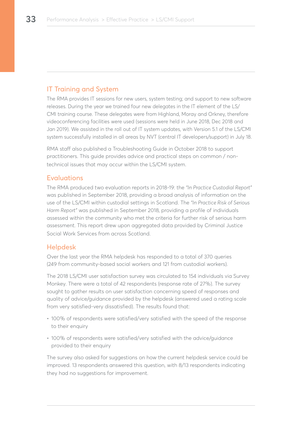# IT Training and System

The RMA provides IT sessions for new users, system testing; and support to new software releases. During the year we trained four new delegates in the IT element of the LS/ CMI training course. These delegates were from Highland, Moray and Orkney, therefore videoconferencing facilities were used (sessions were held in June 2018, Dec 2018 and Jan 2019). We assisted in the roll out of IT system updates, with Version 5.1 of the LS/CMI system successfully installed in all areas by NVT (central IT developers/support) in July 18.

RMA staff also published a Troubleshooting Guide in October 2018 to support practitioners. This guide provides advice and practical steps on common / nontechnical issues that may occur within the LS/CMI system.

#### Evaluations

The RMA produced two evaluation reports in 2018-19: the *"In Practice Custodial Report"* was published in September 2018, providing a broad analysis of information on the use of the LS/CMI within custodial settings in Scotland. The *"In Practice Risk of Serious Harm Report"* was published in September 2018, providing a profile of individuals assessed within the community who met the criteria for further risk of serious harm assessment. This report drew upon aggregated data provided by Criminal Justice Social Work Services from across Scotland.

## Helpdesk

Over the last year the RMA helpdesk has responded to a total of 370 queries (249 from community-based social workers and 121 from custodial workers).

The 2018 LS/CMI user satisfaction survey was circulated to 154 individuals via Survey Monkey. There were a total of 42 respondents (response rate of 27%). The survey sought to gather results on user satisfaction concerning speed of responses and quality of advice/guidance provided by the helpdesk (answered used a rating scale from very satisfied-very dissatisfied). The results found that:

- 100% of respondents were satisfied/very satisfied with the speed of the response to their enquiry
- 100% of respondents were satisfied/very satisfied with the advice/guidance provided to their enquiry

The survey also asked for suggestions on how the current helpdesk service could be improved. 13 respondents answered this question, with 8/13 respondents indicating they had no suggestions for improvement.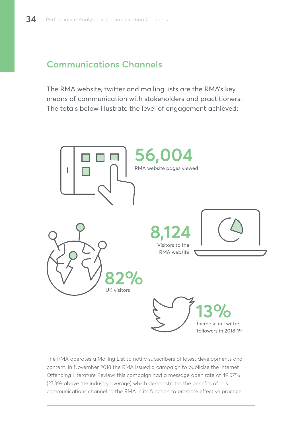# **Communications Channels**

The RMA website, twitter and mailing lists are the RMA's key means of communication with stakeholders and practitioners. The totals below illustrate the level of engagement achieved:



The RMA operates a Mailing List to notify subscribers of latest developments and content. In November 2018 the RMA issued a campaign to publicise the Internet Offending Literature Review: this campaign had a message open rate of 49.57% (27.3% above the industry average) which demonstrates the benefits of this communications channel to the RMA in its function to promote effective practice.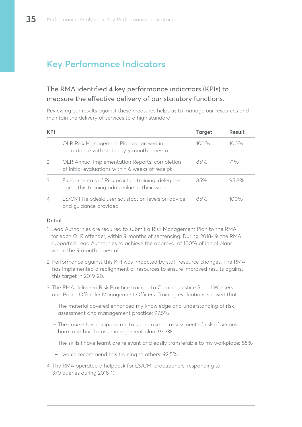# **Key Performance Indicators**

# The RMA identified 4 key performance indicators (KPIs) to measure the effective delivery of our statutory functions.

Reviewing our results against these measures helps us to manage our resources and maintain the delivery of services to a high standard.

| <b>KPI</b>               |                                                                                                   | <b>Target</b> | Result  |
|--------------------------|---------------------------------------------------------------------------------------------------|---------------|---------|
|                          | OLR Risk Management Plans approved in<br>accordance with statutory 9 month timescale              | 100%          | $100\%$ |
| 2                        | OLR Annual Implementation Reports: completion<br>of initial evaluations within 6 weeks of receipt | 85%           | 71%     |
| 3                        | Fundamentals of Risk practice training: delegates<br>agree this training adds value to their work | 85%           | 95.8%   |
| $\overline{\mathcal{L}}$ | LS/CMI Helpdesk: user satisfaction levels on advice<br>and quidance provided                      | 85%           | 100%    |

#### **Detail**

- 1. Lead Authorities are required to submit a Risk Management Plan to the RMA for each OLR offender, within 9 months of sentencing. During 2018-19, the RMA supported Lead Authorities to achieve the approval of 100% of initial plans within the 9 month timescale.
- 2. Performance against this KPI was impacted by staff resource changes. The RMA has implemented a realignment of resources to ensure improved results against this target in 2019-20.
- 3. The RMA delivered Risk Practice training to Criminal Justice Social Workers and Police Offender Management Officers. Training evaluations showed that:
	- The material covered enhanced my knowledge and understanding of risk assessment and management practice: 97.5%
	- The course has equipped me to undertake an assessment of risk of serious harm and build a risk management plan: 97.5%
	- The skills I have learnt are relevant and easily transferable to my workplace: 85%
	- I would recommend this training to others: 92.5%
- 4. The RMA operated a helpdesk for LS/CMI practitioners, responding to 370 queries during 2018-19.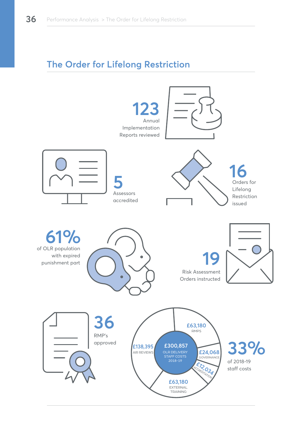# **The Order for Lifelong Restriction**

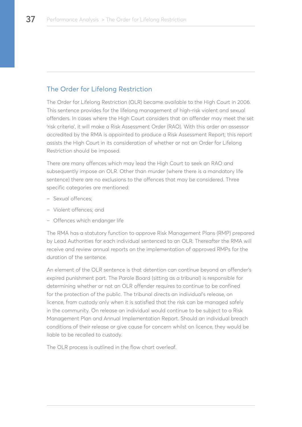# The Order for Lifelong Restriction

The Order for Lifelong Restriction (OLR) became available to the High Court in 2006. This sentence provides for the lifelong management of high-risk violent and sexual offenders. In cases where the High Court considers that an offender may meet the set 'risk criteria', it will make a Risk Assessment Order (RAO). With this order an assessor accredited by the RMA is appointed to produce a Risk Assessment Report; this report assists the High Court in its consideration of whether or not an Order for Lifelong Restriction should be imposed.

There are many offences which may lead the High Court to seek an RAO and subsequently impose an OLR. Other than murder (where there is a mandatory life sentence) there are no exclusions to the offences that may be considered. Three specific categories are mentioned:

- Sexual offences;
- Violent offences; and
- Offences which endanger life

The RMA has a statutory function to approve Risk Management Plans (RMP) prepared by Lead Authorities for each individual sentenced to an OLR. Thereafter the RMA will receive and review annual reports on the implementation of approved RMPs for the duration of the sentence.

An element of the OLR sentence is that detention can continue beyond an offender's expired punishment part. The Parole Board (sitting as a tribunal) is responsible for determining whether or not an OLR offender requires to continue to be confined for the protection of the public. The tribunal directs an individual's release, on licence, from custody only when it is satisfied that the risk can be managed safely in the community. On release an individual would continue to be subject to a Risk Management Plan and Annual Implementation Report. Should an individual breach conditions of their release or give cause for concern whilst on licence, they would be liable to be recalled to custody.

The OLR process is outlined in the flow chart overleaf.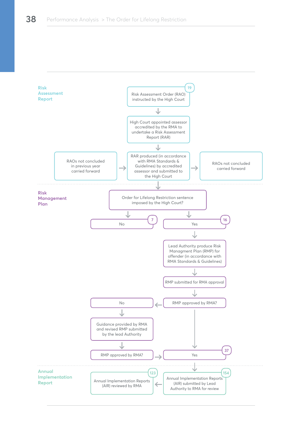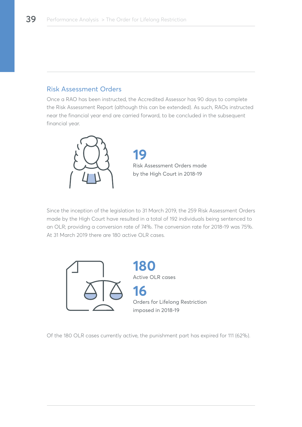# Risk Assessment Orders

Once a RAO has been instructed, the Accredited Assessor has 90 days to complete the Risk Assessment Report (although this can be extended). As such, RAOs instructed near the financial year end are carried forward, to be concluded in the subsequent financial year.



**19** Risk Assessment Orders made by the High Court in 2018-19

Since the inception of the legislation to 31 March 2019, the 259 Risk Assessment Orders made by the High Court have resulted in a total of 192 individuals being sentenced to an OLR; providing a conversion rate of 74%. The conversion rate for 2018-19 was 75%. At 31 March 2019 there are 180 active OLR cases.



**180** Active OLR cases **16** Orders for Lifelong Restriction imposed in 2018-19

Of the 180 OLR cases currently active, the punishment part has expired for 111 (62%).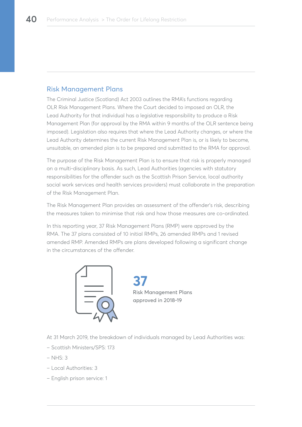## Risk Management Plans

The Criminal Justice (Scotland) Act 2003 outlines the RMA's functions regarding OLR Risk Management Plans. Where the Court decided to imposed an OLR, the Lead Authority for that individual has a legislative responsibility to produce a Risk Management Plan (for approval by the RMA within 9 months of the OLR sentence being imposed). Legislation also requires that where the Lead Authority changes, or where the Lead Authority determines the current Risk Management Plan is, or is likely to become, unsuitable, an amended plan is to be prepared and submitted to the RMA for approval.

The purpose of the Risk Management Plan is to ensure that risk is properly managed on a multi-disciplinary basis. As such, Lead Authorities (agencies with statutory responsibilities for the offender such as the Scottish Prison Service, local authority social work services and health services providers) must collaborate in the preparation of the Risk Management Plan.

The Risk Management Plan provides an assessment of the offender's risk, describing the measures taken to minimise that risk and how those measures are co-ordinated.

In this reporting year, 37 Risk Management Plans (RMP) were approved by the RMA. The 37 plans consisted of 10 initial RMPs, 26 amended RMPs and 1 revised amended RMP. Amended RMPs are plans developed following a significant change in the circumstances of the offender.



**37**  Risk Management Plans approved in 2018-19

At 31 March 2019, the breakdown of individuals managed by Lead Authorities was:

- Scottish Ministers/SPS: 173
- $NHS: 3$
- Local Authorities: 3
- English prison service: 1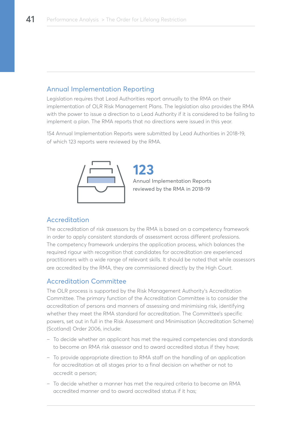# Annual Implementation Reporting

Legislation requires that Lead Authorities report annually to the RMA on their implementation of OLR Risk Management Plans. The legislation also provides the RMA with the power to issue a direction to a Lead Authority if it is considered to be failing to implement a plan. The RMA reports that no directions were issued in this year.

154 Annual Implementation Reports were submitted by Lead Authorities in 2018-19, of which 123 reports were reviewed by the RMA.



**123** Annual Implementation Reports reviewed by the RMA in 2018-19

# Accreditation

The accreditation of risk assessors by the RMA is based on a competency framework in order to apply consistent standards of assessment across different professions. The competency framework underpins the application process, which balances the required rigour with recognition that candidates for accreditation are experienced practitioners with a wide range of relevant skills. It should be noted that while assessors are accredited by the RMA, they are commissioned directly by the High Court.

## Accreditation Committee

The OLR process is supported by the Risk Management Authority's Accreditation Committee. The primary function of the Accreditation Committee is to consider the accreditation of persons and manners of assessing and minimising risk, identifying whether they meet the RMA standard for accreditation. The Committee's specific powers, set out in full in the Risk Assessment and Minimisation (Accreditation Scheme) (Scotland) Order 2006, include:

- To decide whether an applicant has met the required competencies and standards to become an RMA risk assessor and to award accredited status if they have;
- To provide appropriate direction to RMA staff on the handling of an application for accreditation at all stages prior to a final decision on whether or not to accredit a person;
- To decide whether a manner has met the required criteria to become an RMA accredited manner and to award accredited status if it has;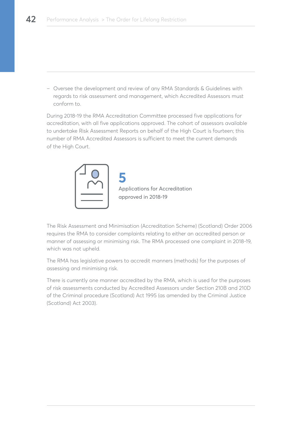– Oversee the development and review of any RMA Standards & Guidelines with regards to risk assessment and management, which Accredited Assessors must conform to.

During 2018-19 the RMA Accreditation Committee processed five applications for accreditation, with all five applications approved. The cohort of assessors available to undertake Risk Assessment Reports on behalf of the High Court is fourteen; this number of RMA Accredited Assessors is sufficient to meet the current demands of the High Court.



**5** Applications for Accreditation approved in 2018-19

The Risk Assessment and Minimisation (Accreditation Scheme) (Scotland) Order 2006 requires the RMA to consider complaints relating to either an accredited person or manner of assessing or minimising risk. The RMA processed one complaint in 2018-19, which was not upheld.

The RMA has legislative powers to accredit manners (methods) for the purposes of assessing and minimising risk.

There is currently one manner accredited by the RMA, which is used for the purposes of risk assessments conducted by Accredited Assessors under Section 210B and 210D of the Criminal procedure (Scotland) Act 1995 (as amended by the Criminal Justice (Scotland) Act 2003).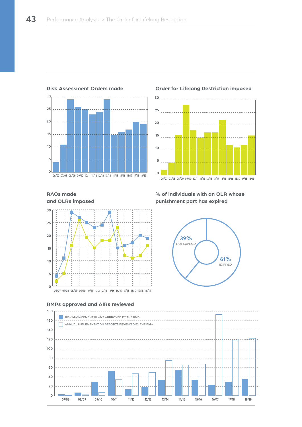

#### **Risk Assessment Orders made**

#### **Order for Lifelong Restriction imposed**



## **RAOs made and OLRs imposed**



### **RMPs approved and AIRs reviewed**

## **% of individuals with an OLR whose punishment part has expired**



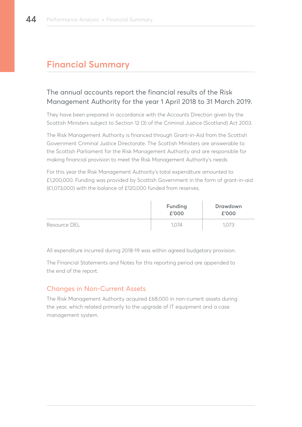# **Financial Summary**

# The annual accounts report the financial results of the Risk Management Authority for the year 1 April 2018 to 31 March 2019.

They have been prepared in accordance with the Accounts Direction given by the Scottish Ministers subject to Section 12 (3) of the Criminal Justice (Scotland) Act 2003.

The Risk Management Authority is financed through Grant-in-Aid from the Scottish Government Criminal Justice Directorate. The Scottish Ministers are answerable to the Scottish Parliament for the Risk Management Authority and are responsible for making financial provision to meet the Risk Management Authority's needs.

For this year the Risk Management Authority's total expenditure amounted to £1,200,000. Funding was provided by Scottish Government in the form of grant-in-aid (£1,073,000) with the balance of £120,000 funded from reserves.

|              | Funding<br>£'000 | Drawdown<br>£'000 |
|--------------|------------------|-------------------|
| Resource DEL | .O /4            | .073              |

All expenditure incurred during 2018-19 was within agreed budgetary provision.

The Financial Statements and Notes for this reporting period are appended to the end of the report.

# Changes in Non-Current Assets

The Risk Management Authority acquired £68,000 in non-current assets during the year, which related primarily to the upgrade of IT equipment and a case management system.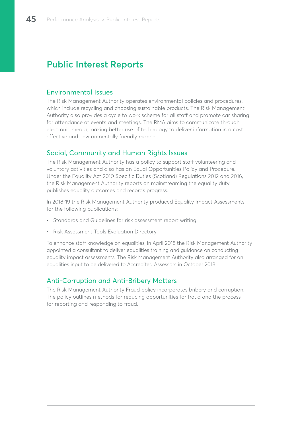# **Public Interest Reports**

## Environmental Issues

The Risk Management Authority operates environmental policies and procedures, which include recycling and choosing sustainable products. The Risk Management Authority also provides a cycle to work scheme for all staff and promote car sharing for attendance at events and meetings. The RMA aims to communicate through electronic media, making better use of technology to deliver information in a cost effective and environmentally friendly manner.

## Social, Community and Human Rights Issues

The Risk Management Authority has a policy to support staff volunteering and voluntary activities and also has an Equal Opportunities Policy and Procedure. Under the Equality Act 2010 Specific Duties (Scotland) Regulations 2012 and 2016, the Risk Management Authority reports on mainstreaming the equality duty, publishes equality outcomes and records progress.

In 2018-19 the Risk Management Authority produced Equality Impact Assessments for the following publications:

- Standards and Guidelines for risk assessment report writing
- Risk Assessment Tools Evaluation Directory

To enhance staff knowledge on equalities, in April 2018 the Risk Management Authority appointed a consultant to deliver equalities training and guidance on conducting equality impact assessments. The Risk Management Authority also arranged for an equalities input to be delivered to Accredited Assessors in October 2018.

# Anti-Corruption and Anti-Bribery Matters

The Risk Management Authority Fraud policy incorporates bribery and corruption. The policy outlines methods for reducing opportunities for fraud and the process for reporting and responding to fraud.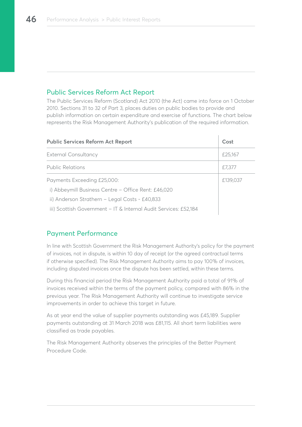# Public Services Reform Act Report

The Public Services Reform (Scotland) Act 2010 (the Act) came into force on 1 October 2010. Sections 31 to 32 of Part 3, places duties on public bodies to provide and publish information on certain expenditure and exercise of functions. The chart below represents the Risk Management Authority's publication of the required information.

| <b>Public Services Reform Act Report</b>                         | Cost     |
|------------------------------------------------------------------|----------|
| External Consultancy                                             | £25,167  |
| <b>Public Relations</b>                                          | £7,377   |
| Payments Exceeding £25,000:                                      | £139,037 |
| i) Abbeymill Business Centre - Office Rent: £46,020              |          |
| ii) Anderson Strathern - Legal Costs - £40,833                   |          |
| iii) Scottish Government – IT & Internal Audit Services: £52,184 |          |

## Payment Performance

In line with Scottish Government the Risk Management Authority's policy for the payment of invoices, not in dispute, is within 10 day of receipt (or the agreed contractual terms if otherwise specified). The Risk Management Authority aims to pay 100% of invoices, including disputed invoices once the dispute has been settled, within these terms.

During this financial period the Risk Management Authority paid a total of 91% of invoices received within the terms of the payment policy, compared with 86% in the previous year. The Risk Management Authority will continue to investigate service improvements in order to achieve this target in future.

As at year end the value of supplier payments outstanding was £45,189. Supplier payments outstanding at 31 March 2018 was £81,115. All short term liabilities were classified as trade payables.

The Risk Management Authority observes the principles of the Better Payment Procedure Code.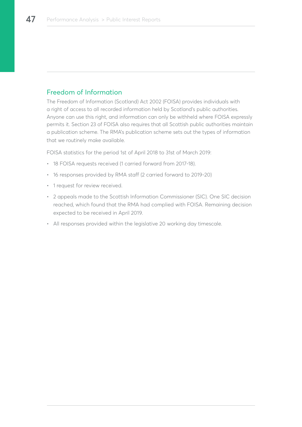# Freedom of Information

The Freedom of Information (Scotland) Act 2002 (FOISA) provides individuals with a right of access to all recorded information held by Scotland's public authorities. Anyone can use this right, and information can only be withheld where FOISA expressly permits it. Section 23 of FOISA also requires that all Scottish public authorities maintain a publication scheme. The RMA's publication scheme sets out the types of information that we routinely make available.

FOISA statistics for the period 1st of April 2018 to 31st of March 2019:

- 18 FOISA requests received (1 carried forward from 2017-18).
- 16 responses provided by RMA staff (2 carried forward to 2019-20)
- 1 request for review received.
- 2 appeals made to the Scottish Information Commissioner (SIC). One SIC decision reached, which found that the RMA had complied with FOISA. Remaining decision expected to be received in April 2019.
- All responses provided within the legislative 20 working day timescale.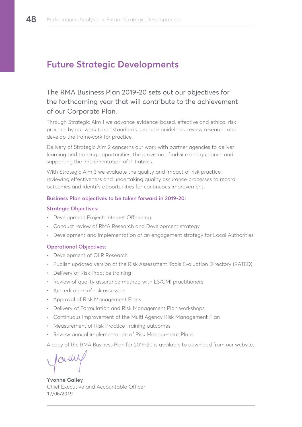# **Future Strategic Developments**

# The RMA Business Plan 2019-20 sets out our objectives for the forthcoming year that will contribute to the achievement of our Corporate Plan.

Through Strategic Aim 1 we advance evidence-based, effective and ethical risk practice by our work to set standards, produce guidelines, review research, and develop the framework for practice.

Delivery of Strategic Aim 2 concerns our work with partner agencies to deliver learning and training opportunities, the provision of advice and guidance and supporting the implementation of initiatives.

With Strategic Aim 3 we evaluate the quality and impact of risk practice, reviewing effectiveness and undertaking quality assurance processes to record outcomes and identify opportunities for continuous improvement.

#### **Business Plan objectives to be taken forward in 2019-20:**

#### **Strategic Objectives:**

- Development Project: Internet Offending
- Conduct review of RMA Research and Development strategy
- Development and implementation of an engagement strategy for Local Authorities

## **Operational Objectives:**

- Development of OLR Research
- Publish updated version of the Risk Assessment Tools Evaluation Directory (RATED)
- Delivery of Risk Practice training
- Review of quality assurance method with LS/CMI practitioners
- Accreditation of risk assessors
- Approval of Risk Management Plans
- Delivery of Formulation and Risk Management Plan workshops
- Continuous improvement of the Multi Agency Risk Management Plan
- Measurement of Risk Practice Training outcomes
- Review annual implementation of Risk Management Plans

A copy of the RMA Business Plan for 2019-20 is available to download from our website.

**Yvonne Gailey** Chief Executive and Accountable Officer 17/06/2019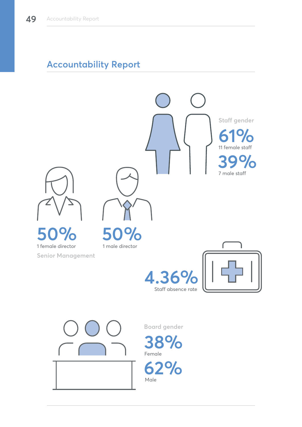# **Accountability Report**

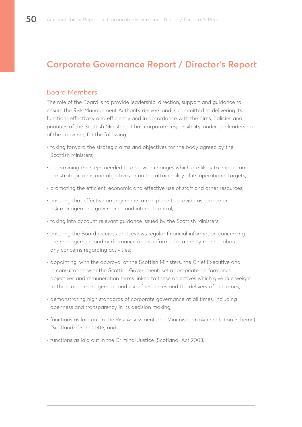# **Corporate Governance Report / Director's Report**

## Board Members

The role of the Board is to provide leadership, direction, support and guidance to ensure the Risk Management Authority delivers and is committed to delivering its functions effectively and efficiently and in accordance with the aims, policies and priorities of the Scottish Ministers. It has corporate responsibility, under the leadership of the convener, for the following:

- taking forward the strategic aims and objectives for the body agreed by the Scottish Ministers;
- determining the steps needed to deal with changes which are likely to impact on the strategic aims and objectives or on the attainability of its operational targets;
- promoting the efficient, economic and effective use of staff and other resources;
- ensuring that effective arrangements are in place to provide assurance on risk management, governance and internal control;
- taking into account relevant guidance issued by the Scottish Ministers;
- ensuring the Board receives and reviews regular financial information concerning the management and performance and is informed in a timely manner about any concerns regarding activities;
- appointing, with the approval of the Scottish Ministers, the Chief Executive and, in consultation with the Scottish Government, set appropriate performance objectives and remuneration terms linked to these objectives which give due weight to the proper management and use of resources and the delivery of outcomes;
- demonstrating high standards of corporate governance at all times, including openness and transparency in its decision making;
- functions as laid out in the Risk Assessment and Minimisation (Accreditation Scheme) (Scotland) Order 2006; and
- functions as laid out in the Criminal Justice (Scotland) Act 2003.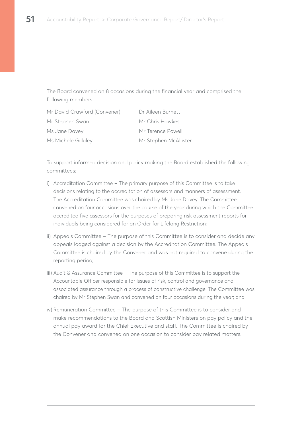The Board convened on 8 occasions during the financial year and comprised the following members:

| Mr David Crawford (Convener) | Dr Aileen Burnett     |
|------------------------------|-----------------------|
| Mr Stephen Swan              | Mr Chris Hawkes       |
| Ms Jane Davey                | Mr Terence Powell     |
| Ms Michele Gilluley          | Mr Stephen McAllister |

To support informed decision and policy making the Board established the following committees:

- i) Accreditation Committee The primary purpose of this Committee is to take decisions relating to the accreditation of assessors and manners of assessment. The Accreditation Committee was chaired by Ms Jane Davey. The Committee convened on four occasions over the course of the year during which the Committee accredited five assessors for the purposes of preparing risk assessment reports for individuals being considered for an Order for Lifelong Restriction;
- ii) Appeals Committee The purpose of this Committee is to consider and decide any appeals lodged against a decision by the Accreditation Committee. The Appeals Committee is chaired by the Convener and was not required to convene during the reporting period;
- iii) Audit & Assurance Committee The purpose of this Committee is to support the Accountable Officer responsible for issues of risk, control and governance and associated assurance through a process of constructive challenge. The Committee was chaired by Mr Stephen Swan and convened on four occasions during the year; and
- iv) Remuneration Committee The purpose of this Committee is to consider and make recommendations to the Board and Scottish Ministers on pay policy and the annual pay award for the Chief Executive and staff. The Committee is chaired by the Convener and convened on one occasion to consider pay related matters.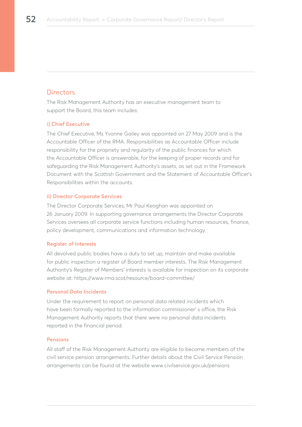## **Directors**

The Risk Management Authority has an executive management team to support the Board, this team includes:

## **i) Chief Executive**

The Chief Executive, Ms Yvonne Gailey was appointed on 27 May 2009 and is the Accountable Officer of the RMA. Responsibilities as Accountable Officer include responsibility for the propriety and regularity of the public finances for which the Accountable Officer is answerable, for the keeping of proper records and for safeguarding the Risk Management Authority's assets, as set out in the Framework Document with the Scottish Government and the Statement of Accountable Officer's Responsibilities within the accounts.

#### **ii) Director Corporate Services**

The Director Corporate Services, Mr Paul Keoghan was appointed on 26 January 2009. In supporting governance arrangements the Director Corporate Services oversees all corporate service functions including human resources, finance, policy development, communications and information technology.

#### **Register of Interests**

All devolved public bodies have a duty to set up, maintain and make available for public inspection a register of Board member interests. The Risk Management Authority's Register of Members' interests is available for inspection on its corporate website at: https://www.rma.scot/resource/board-committee/

#### **Personal Data Incidents**

Under the requirement to report on personal data related incidents which have been formally reported to the information commissioner' s office, the Risk Management Authority reports that there were no personal data incidents reported in the financial period.

#### **Pensions**

All staff of the Risk Management Authority are eligible to become members of the civil service pension arrangements. Further details about the Civil Service Pension arrangements can be found at the website www.civilservice.gov.uk/pensions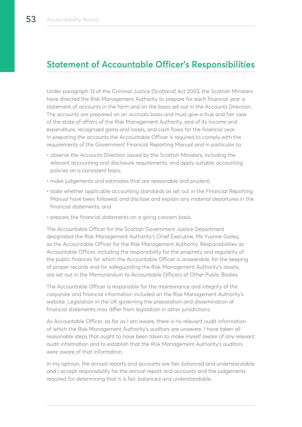# **Statement of Accountable Officer's Responsibilities**

Under paragraph 13 of the Criminal Justice (Scotland) Act 2003, the Scottish Ministers have directed the Risk Management Authority to prepare for each financial year a statement of accounts in the form and on the basis set out in the Accounts Direction. The accounts are prepared on an accruals basis and must give a true and fair view of the state of affairs of the Risk Management Authority, and of its income and expenditure, recognised gains and losses, and cash flows for the financial year. In preparing the accounts the Accountable Officer is required to comply with the requirements of the Government Financial Reporting Manual and in particular to:

- observe the Accounts Direction issued by the Scottish Ministers, including the relevant accounting and disclosure requirements, and apply suitable accounting policies on a consistent basis;
- make judgements and estimates that are reasonable and prudent;
- state whether applicable accounting standards as set out in the Financial Reporting Manual have been followed, and disclose and explain any material departures in the financial statements; and
- prepare the financial statements on a going concern basis.

The Accountable Officer for the Scottish Government Justice Department designated the Risk Management Authority's Chief Executive, Ms Yvonne Gailey, as the Accountable Officer for the Risk Management Authority. Responsibilities as Accountable Officer, including the responsibility for the propriety and regularity of the public finances for which the Accountable Officer is answerable, for the keeping of proper records and for safeguarding the Risk Management Authority's assets, are set out in the Memorandum to Accountable Officers of Other Public Bodies.

The Accountable Officer is responsible for the maintenance and integrity of the corporate and financial information included on the Risk Management Authority's website. Legislation in the UK governing the preparation and dissemination of financial statements may differ from legislation in other jurisdictions.

As Accountable Officer, as far as I am aware, there is no relevant audit information of which the Risk Management Authority's auditors are unaware. I have taken all reasonable steps that ought to have been taken to make myself aware of any relevant audit information and to establish that the Risk Management Authority's auditors were aware of that information.

In my opinion, the annual reports and accounts are fair, balanced and understandable and I accept responsibility for the annual report and accounts and the judgements required for determining that it is fair, balanced and understandable.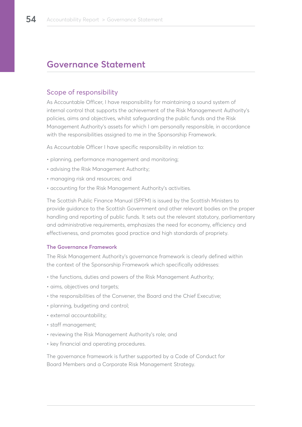# **Governance Statement**

## Scope of responsibility

As Accountable Officer, I have responsibility for maintaining a sound system of internal control that supports the achievement of the Risk Managemevnt Authority's policies, aims and objectives, whilst safeguarding the public funds and the Risk Management Authority's assets for which I am personally responsible, in accordance with the responsibilities assigned to me in the Sponsorship Framework.

As Accountable Officer I have specific responsibility in relation to:

- planning, performance management and monitoring;
- advising the Risk Management Authority;
- managing risk and resources; and
- accounting for the Risk Management Authority's activities.

The Scottish Public Finance Manual (SPFM) is issued by the Scottish Ministers to provide guidance to the Scottish Government and other relevant bodies on the proper handling and reporting of public funds. It sets out the relevant statutory, parliamentary and administrative requirements, emphasizes the need for economy, efficiency and effectiveness, and promotes good practice and high standards of propriety.

#### **The Governance Framework**

The Risk Management Authority's governance framework is clearly defined within the context of the Sponsorship Framework which specifically addresses:

- the functions, duties and powers of the Risk Management Authority;
- aims, objectives and targets;
- the responsibilities of the Convener, the Board and the Chief Executive;
- planning, budgeting and control;
- external accountability;
- staff management;
- reviewing the Risk Management Authority's role; and
- key financial and operating procedures.

The governance framework is further supported by a Code of Conduct for Board Members and a Corporate Risk Management Strategy.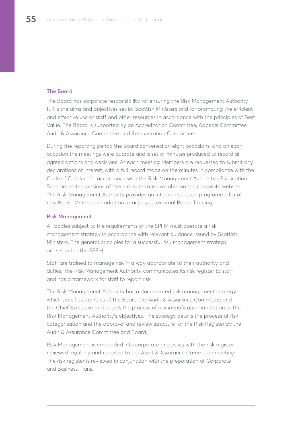### **The Board**

The Board has corporate responsibility for ensuring the Risk Management Authority fulfils the aims and objectives set by Scottish Ministers and for promoting the efficient and effective use of staff and other resources in accordance with the principles of Best Value. The Board is supported by an Accreditation Committee, Appeals Committee, Audit & Assurance Committee and Remuneration Committee.

During the reporting period the Board convened on eight occasions, and on each occasion the meetings were quorate and a set of minutes produced to record all agreed actions and decisions. At each meeting Members are requested to submit any declarations of interest, with a full record made on the minutes in compliance with the Code of Conduct. In accordance with the Risk Management Authority's Publication Scheme, edited versions of these minutes are available on the corporate website. The Risk Management Authority provides an internal induction programme for all new Board Members in addition to access to external Board Training.

#### **Risk Management**

All bodies subject to the requirements of the SPFM must operate a risk management strategy in accordance with relevant guidance issued by Scottish Ministers. The general principles for a successful risk management strategy are set out in the SPFM.

Staff are trained to manage risk in a way appropriate to their authority and duties. The Risk Management Authority communicates its risk register to staff and has a framework for staff to report risk.

The Risk Management Authority has a documented risk management strategy which specifies the roles of the Board, the Audit & Assurance Committee and the Chief Executive and details the process of risk identification in relation to the Risk Management Authority's objectives. The strategy details the process of risk categorisation and the approval and review structure for the Risk Register by the Audit & Assurance Committee and Board.

Risk Management is embedded into corporate processes with the risk register reviewed regularly and reported to the Audit & Assurance Committee meeting. The risk register is reviewed in conjunction with the preparation of Corporate and Business Plans.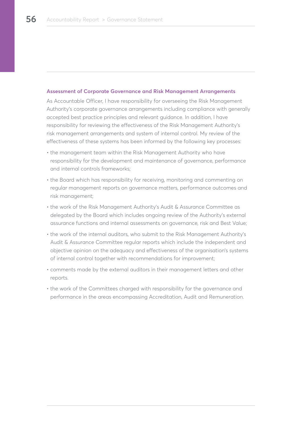#### **Assessment of Corporate Governance and Risk Management Arrangements**

As Accountable Officer, I have responsibility for overseeing the Risk Management Authority's corporate governance arrangements including compliance with generally accepted best practice principles and relevant guidance. In addition, I have responsibility for reviewing the effectiveness of the Risk Management Authority's risk management arrangements and system of internal control. My review of the effectiveness of these systems has been informed by the following key processes:

- the management team within the Risk Management Authority who have responsibility for the development and maintenance of governance, performance and internal controls frameworks;
- the Board which has responsibility for receiving, monitoring and commenting on regular management reports on governance matters, performance outcomes and risk management;
- the work of the Risk Management Authority's Audit & Assurance Committee as delegated by the Board which includes ongoing review of the Authority's external assurance functions and internal assessments on governance, risk and Best Value;
- the work of the internal auditors, who submit to the Risk Management Authority's Audit & Assurance Committee regular reports which include the independent and objective opinion on the adequacy and effectiveness of the organisation's systems of internal control together with recommendations for improvement;
- comments made by the external auditors in their management letters and other reports.
- the work of the Committees charged with responsibility for the governance and performance in the areas encompassing Accreditation, Audit and Remuneration.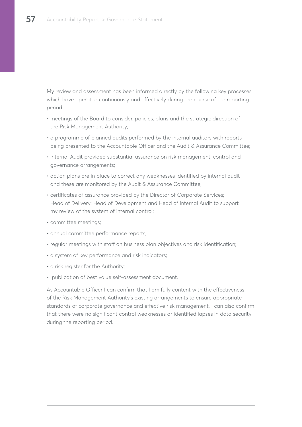My review and assessment has been informed directly by the following key processes which have operated continuously and effectively during the course of the reporting period:

- meetings of the Board to consider, policies, plans and the strategic direction of the Risk Management Authority;
- a programme of planned audits performed by the internal auditors with reports being presented to the Accountable Officer and the Audit & Assurance Committee;
- Internal Audit provided substantial assurance on risk management, control and governance arrangements;
- action plans are in place to correct any weaknesses identified by internal audit and these are monitored by the Audit & Assurance Committee;
- certificates of assurance provided by the Director of Corporate Services; Head of Delivery; Head of Development and Head of Internal Audit to support my review of the system of internal control;
- committee meetings;
- annual committee performance reports;
- regular meetings with staff on business plan objectives and risk identification;
- a system of key performance and risk indicators;
- a risk register for the Authority;
- publication of best value self-assessment document.

As Accountable Officer I can confirm that I am fully content with the effectiveness of the Risk Management Authority's existing arrangements to ensure appropriate standards of corporate governance and effective risk management. I can also confirm that there were no significant control weaknesses or identified lapses in data security during the reporting period.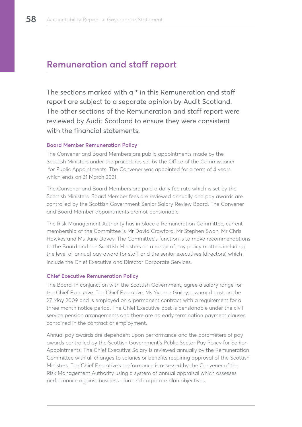# **Remuneration and staff report**

The sections marked with a \* in this Remuneration and staff report are subject to a separate opinion by Audit Scotland. The other sections of the Remuneration and staff report were reviewed by Audit Scotland to ensure they were consistent with the financial statements.

## **Board Member Remuneration Policy**

The Convener and Board Members are public appointments made by the Scottish Ministers under the procedures set by the Office of the Commissioner for Public Appointments. The Convener was appointed for a term of 4 years which ends on 31 March 2021.

The Convener and Board Members are paid a daily fee rate which is set by the Scottish Ministers. Board Member fees are reviewed annually and pay awards are controlled by the Scottish Government Senior Salary Review Board. The Convener and Board Member appointments are not pensionable.

The Risk Management Authority has in place a Remuneration Committee, current membership of the Committee is Mr David Crawford, Mr Stephen Swan, Mr Chris Hawkes and Ms Jane Davey. The Committee's function is to make recommendations to the Board and the Scottish Ministers on a range of pay policy matters including the level of annual pay award for staff and the senior executives (directors) which include the Chief Executive and Director Corporate Services.

## **Chief Executive Remuneration Policy**

The Board, in conjunction with the Scottish Government, agree a salary range for the Chief Executive. The Chief Executive, Ms Yvonne Gailey, assumed post on the 27 May 2009 and is employed on a permanent contract with a requirement for a three month notice period. The Chief Executive post is pensionable under the civil service pension arrangements and there are no early termination payment clauses contained in the contract of employment.

Annual pay awards are dependent upon performance and the parameters of pay awards controlled by the Scottish Government's Public Sector Pay Policy for Senior Appointments. The Chief Executive Salary is reviewed annually by the Remuneration Committee with all changes to salaries or benefits requiring approval of the Scottish Ministers. The Chief Executive's performance is assessed by the Convener of the Risk Management Authority using a system of annual appraisal which assesses performance against business plan and corporate plan objectives.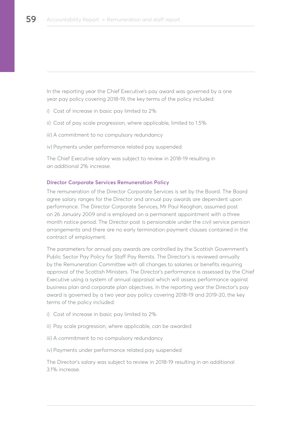In the reporting year the Chief Executive's pay award was governed by a one year pay policy covering 2018-19, the key terms of the policy included:

- i) Cost of increase in basic pay limited to 2%
- ii) Cost of pay scale progression, where applicable, limited to 1.5%
- iii) A commitment to no compulsory redundancy
- iv) Payments under performance related pay suspended

The Chief Executive salary was subject to review in 2018-19 resulting in an additional 2% increase.

### **Director Corporate Services Remuneration Policy**

The remuneration of the Director Corporate Services is set by the Board. The Board agree salary ranges for the Director and annual pay awards are dependent upon performance. The Director Corporate Services, Mr Paul Keoghan, assumed post on 26 January 2009 and is employed on a permanent appointment with a three month notice period. The Director post is pensionable under the civil service pension arrangements and there are no early termination payment clauses contained in the contract of employment.

The parameters for annual pay awards are controlled by the Scottish Government's Public Sector Pay Policy for Staff Pay Remits. The Director's is reviewed annually by the Remuneration Committee with all changes to salaries or benefits requiring approval of the Scottish Ministers. The Director's performance is assessed by the Chief Executive using a system of annual appraisal which will assess performance against business plan and corporate plan objectives. In the reporting year the Director's pay award is governed by a two year pay policy covering 2018-19 and 2019-20, the key terms of the policy included:

- i) Cost of increase in basic pay limited to 2%
- ii) Pay scale progression, where applicable, can be awarded
- iii) A commitment to no compulsory redundancy
- iv) Payments under performance related pay suspended

The Director's salary was subject to review in 2018-19 resulting in an additional 3.1% increase.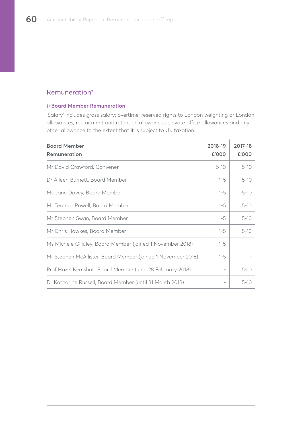## Remuneration\*

### **i) Board Member Remuneration**

'Salary' includes gross salary; overtime; reserved rights to London weighting or London allowances; recruitment and retention allowances; private office allowances and any other allowance to the extent that it is subject to UK taxation.

| <b>Board Member</b><br>Remuneration                          | 2018-19<br>£'000 | 2017-18<br>£'000 |
|--------------------------------------------------------------|------------------|------------------|
| Mr David Crawford, Convener                                  | $5 - 10$         | $5 - 10$         |
| Dr Aileen Burnett, Board Member                              | $1 - 5$          | $5 - 10$         |
| Ms Jane Davey, Board Member                                  | $1 - 5$          | $5 - 10$         |
| Mr Terence Powell, Board Member                              | $1 - 5$          | $5 - 10$         |
| Mr Stephen Swan, Board Member                                | $1 - 5$          | $5 - 10$         |
| Mr Chris Hawkes, Board Member                                | $1 - 5$          | $5 - 10$         |
| Ms Michele Gilluley, Board Member (joined 1 November 2018)   | $1 - 5$          |                  |
| Mr Stephen McAllister, Board Member (joined 1 November 2018) | $1 - 5$          |                  |
| Prof Hazel Kemshall, Board Member (until 28 February 2018)   |                  | $5 - 10$         |
| Dr Katharine Russell, Board Member (until 31 March 2018)     |                  | $5-10$           |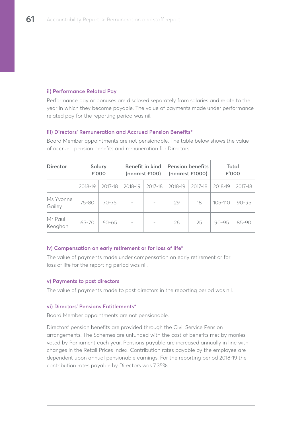#### **ii) Performance Related Pay**

Performance pay or bonuses are disclosed separately from salaries and relate to the year in which they become payable. The value of payments made under performance related pay for the reporting period was nil.

### **iii) Directors' Remuneration and Accrued Pension Benefits\***

| <b>Director</b>     |         | Salary<br>£'000 |                          | Benefit in kind<br>(nearest £100) | <b>Pension benefits</b><br>(nearest £1000) |         | <b>Total</b><br>£'000 |           |
|---------------------|---------|-----------------|--------------------------|-----------------------------------|--------------------------------------------|---------|-----------------------|-----------|
|                     | 2018-19 | 2017-18         | 2018-19                  | 2017-18                           | 2018-19                                    | 2017-18 | 2018-19               | 2017-18   |
| Ms Yvonne<br>Gailey | 75-80   | $70 - 75$       |                          |                                   | 29                                         | 18      | 105-110               | $90 - 95$ |
| Mr Paul<br>Keoghan  | 65-70   | $60 - 65$       | $\overline{\phantom{a}}$ | $\overline{\phantom{a}}$          | 26                                         | 25      | $90 - 95$             | 85-90     |

Board Member appointments are not pensionable. The table below shows the value of accrued pension benefits and remuneration for Directors.

#### **iv) Compensation on early retirement or for loss of life\***

The value of payments made under compensation on early retirement or for loss of life for the reporting period was nil.

#### **v) Payments to past directors**

The value of payments made to past directors in the reporting period was nil.

#### **vi) Directors' Pensions Entitlements\***

Board Member appointments are not pensionable.

Directors' pension benefits are provided through the Civil Service Pension arrangements. The Schemes are unfunded with the cost of benefits met by monies voted by Parliament each year. Pensions payable are increased annually in line with changes in the Retail Prices Index. Contribution rates payable by the employee are dependent upon annual pensionable earnings. For the reporting period 2018-19 the contribution rates payable by Directors was 7.35%.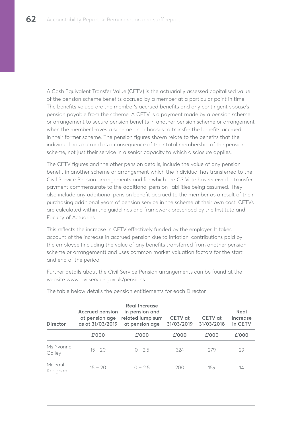A Cash Equivalent Transfer Value (CETV) is the actuarially assessed capitalised value of the pension scheme benefits accrued by a member at a particular point in time. The benefits valued are the member's accrued benefits and any contingent spouse's pension payable from the scheme. A CETV is a payment made by a pension scheme or arrangement to secure pension benefits in another pension scheme or arrangement when the member leaves a scheme and chooses to transfer the benefits accrued in their former scheme. The pension figures shown relate to the benefits that the individual has accrued as a consequence of their total membership of the pension scheme, not just their service in a senior capacity to which disclosure applies.

The CETV figures and the other pension details, include the value of any pension benefit in another scheme or arrangement which the individual has transferred to the Civil Service Pension arrangements and for which the CS Vote has received a transfer payment commensurate to the additional pension liabilities being assumed. They also include any additional pension benefit accrued to the member as a result of their purchasing additional years of pension service in the scheme at their own cost. CETVs are calculated within the guidelines and framework prescribed by the Institute and Faculty of Actuaries.

This reflects the increase in CETV effectively funded by the employer. It takes account of the increase in accrued pension due to inflation, contributions paid by the employee (including the value of any benefits transferred from another pension scheme or arrangement) and uses common market valuation factors for the start and end of the period.

Further details about the Civil Service Pension arrangements can be found at the website www.civilservice.gov.uk/pensions

| <b>Director</b>     | Accrued pension<br>at pension age<br>as at 31/03/2019 | <b>Real Increase</b><br>in pension and<br>related lump sum<br>at pension age | CETV at<br>31/03/2019 | CETV at<br>31/03/2018 | Real<br>increase<br>in CETV |
|---------------------|-------------------------------------------------------|------------------------------------------------------------------------------|-----------------------|-----------------------|-----------------------------|
|                     | £'000                                                 | £'000                                                                        | £'000                 | £'000                 | £'000                       |
| Ms Yvonne<br>Gailey | $15 - 20$                                             | $0 - 2.5$                                                                    | 324                   | 279                   | 29                          |
| Mr Paul<br>Keoghan  | $15 - 20$                                             | $0 - 2.5$                                                                    | 200                   | 159                   | 14                          |

The table below details the pension entitlements for each Director.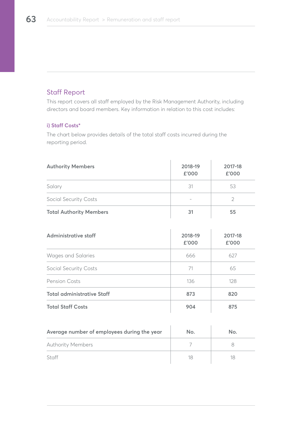# Staff Report

This report covers all staff employed by the Risk Management Authority, including directors and board members. Key information in relation to this cost includes:

## **i) Staff Costs\***

The chart below provides details of the total staff costs incurred during the reporting period.

| <b>Authority Members</b>       | 2018-19<br>£'000 | 2017-18<br>£'000 |
|--------------------------------|------------------|------------------|
| Salary                         | 31               | 53               |
| <b>Social Security Costs</b>   |                  |                  |
| <b>Total Authority Members</b> | 31               | 55               |

| Administrative staff              | 2018-19<br>£'000 | 2017-18<br>£'000 |
|-----------------------------------|------------------|------------------|
| Wages and Salaries                | 666              | 627              |
| <b>Social Security Costs</b>      | 71               | 65               |
| Pension Costs                     | 136              | 128              |
| <b>Total administrative Staff</b> | 873              | 820              |
| <b>Total Staff Costs</b>          | 904              | 875              |

| Average number of employees during the year | No. | No. |
|---------------------------------------------|-----|-----|
| <b>Authority Members</b>                    |     |     |
| Staff                                       |     |     |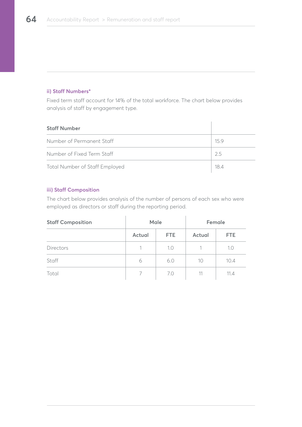## **ii) Staff Numbers\***

Fixed term staff account for 14% of the total workforce. The chart below provides analysis of staff by engagement type.

| <b>Staff Number</b>            |      |
|--------------------------------|------|
| Number of Permanent Staff      | 15.9 |
| Number of Fixed Term Staff     | 2.5  |
| Total Number of Staff Employed | 184  |

## **iii) Staff Composition**

The chart below provides analysis of the number of persons of each sex who were employed as directors or staff during the reporting period.

| <b>Staff Composition</b> | Male   |      | Female |      |
|--------------------------|--------|------|--------|------|
|                          | Actual | FTE. | Actual | FTE. |
| Directors                |        | 1.0  | 1      | 1.0  |
| Staff                    | 6      | 6.0  | 10     | 10.4 |
| Total                    |        | 7.0  | 11     | 11.4 |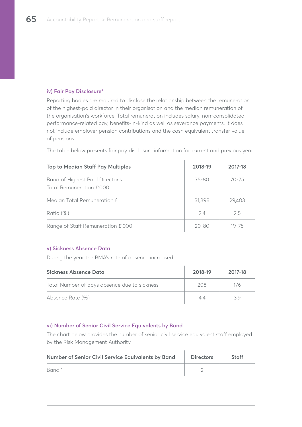## **iv) Fair Pay Disclosure\***

Reporting bodies are required to disclose the relationship between the remuneration of the highest-paid director in their organisation and the median remuneration of the organisation's workforce. Total remuneration includes salary, non-consolidated performance-related pay, benefits-in-kind as well as severance payments. It does not include employer pension contributions and the cash equivalent transfer value of pensions.

The table below presents fair pay disclosure information for current and previous year.

| <b>Top to Median Staff Pay Multiples</b>                    | 2018-19 | 2017-18   |
|-------------------------------------------------------------|---------|-----------|
| Band of Highest Paid Director's<br>Total Remuneration £'000 | 75-80   | $70 - 75$ |
| Median Total Remuneration f                                 | 31,898  | 29,403    |
| Ratio (%)                                                   | 24      | 25        |
| Range of Staff Remuneration £'000                           | 20-80   | $19 - 75$ |

## **v) Sickness Absence Data**

During the year the RMA's rate of absence increased.

| Sickness Absence Data                        | 2018-19 | 2017-18 |
|----------------------------------------------|---------|---------|
| Total Number of days absence due to sickness | 208     | 176     |
| Absence Rate (%)                             | Δ4      | 39      |

## **vi) Number of Senior Civil Service Equivalents by Band**

The chart below provides the number of senior civil service equivalent staff employed by the Risk Management Authority

| Number of Senior Civil Service Equivalents by Band | <b>Directors</b> | <b>Staff</b> |
|----------------------------------------------------|------------------|--------------|
| Band 1                                             |                  |              |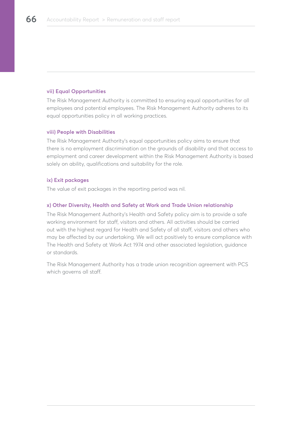### **vii) Equal Opportunities**

The Risk Management Authority is committed to ensuring equal opportunities for all employees and potential employees. The Risk Management Authority adheres to its equal opportunities policy in all working practices.

#### **viii) People with Disabilities**

The Risk Management Authority's equal opportunities policy aims to ensure that there is no employment discrimination on the grounds of disability and that access to employment and career development within the Risk Management Authority is based solely on ability, qualifications and suitability for the role.

### **ix) Exit packages**

The value of exit packages in the reporting period was nil.

#### **x) Other Diversity, Health and Safety at Work and Trade Union relationship**

The Risk Management Authority's Health and Safety policy aim is to provide a safe working environment for staff, visitors and others. All activities should be carried out with the highest regard for Health and Safety of all staff, visitors and others who may be affected by our undertaking. We will act positively to ensure compliance with The Health and Safety at Work Act 1974 and other associated legislation, guidance or standards.

The Risk Management Authority has a trade union recognition agreement with PCS which governs all staff.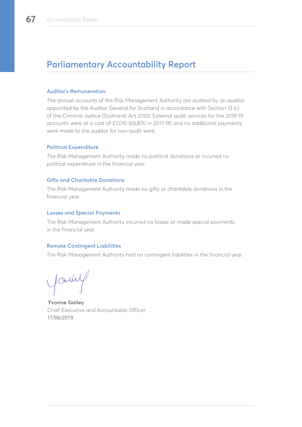# **Parliamentary Accountability Report**

#### **Auditor's Remuneration**

The annual accounts of the Risk Management Authority are audited by an auditor appointed by the Auditor General for Scotland in accordance with Section 13 (c) of the Criminal Justice (Scotland) Act 2003. External audit services for the 2018-19 accounts were at a cost of £7,010 (£6,870 in 2017-18) and no additional payments were made to the auditor for non-audit work.

## **Political Expenditure**

The Risk Management Authority made no political donations or incurred no political expenditure in the financial year.

### **Gifts and Charitable Donations**

The Risk Management Authority made no gifts or charitable donations in the financial year.

### **Losses and Special Payments**

The Risk Management Authority incurred no losses or made special payments in the financial year.

## **Remote Contingent Liabilities**

The Risk Management Authority had no contingent liabilities in the financial year.

young

**Yvonne Gailey** Chief Executive and Accountable Officer 17/06/2019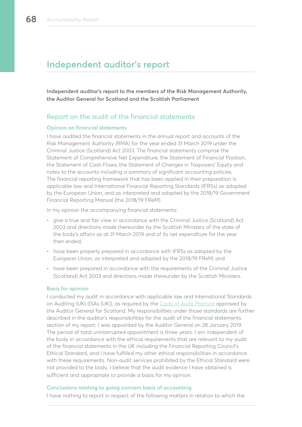# **Independent auditor's report**

**Independent auditor's report to the members of the Risk Management Authority, the Auditor General for Scotland and the Scottish Parliament**

## Report on the audit of the financial statements

#### **Opinion on financial statements**

I have audited the financial statements in the annual report and accounts of the Risk Management Authority (RMA) for the year ended 31 March 2019 under the Criminal Justice (Scotland) Act 2003. The financial statements comprise the Statement of Comprehensive Net Expenditure, the Statement of Financial Position, the Statement of Cash Flows, the Statement of Changes in Taxpayers' Equity and notes to the accounts including a summary of significant accounting policies. The financial reporting framework that has been applied in their preparation is applicable law and International Financial Reporting Standards (IFRSs) as adopted by the European Union, and as interpreted and adapted by the 2018/19 Government Financial Reporting Manual (the 2018/19 FReM).

In my opinion the accompanying financial statements:

- give a true and fair view in accordance with the Criminal Justice (Scotland) Act 2003 and directions made thereunder by the Scottish Ministers of the state of the body's affairs as at 31 March 2019 and of its net expenditure for the year then ended;
- have been properly prepared in accordance with IFRSs as adopted by the European Union, as interpreted and adapted by the 2018/19 FReM; and
- have been prepared in accordance with the requirements of the Criminal Justice (Scotland) Act 2003 and directions made thereunder by the Scottish Ministers.

#### **Basis for opinion**

I conducted my audit in accordance with applicable law and International Standards on Auditing (UK) (ISAs (UK)), as required by the [Code of Audit Practice](https://www.audit-scotland.gov.uk/uploads/docs/report/2016/code_audit_practice_16.pdf) approved by the Auditor General for Scotland. My responsibilities under those standards are further described in the auditor's responsibilities for the audit of the financial statements section of my report. I was appointed by the Auditor General on 28 January 2019. The period of total uninterrupted appointment is three years. I am independent of the body in accordance with the ethical requirements that are relevant to my audit of the financial statements in the UK including the Financial Reporting Council's Ethical Standard, and I have fulfilled my other ethical responsibilities in accordance with these requirements. Non-audit services prohibited by the Ethical Standard were not provided to the body. I believe that the audit evidence I have obtained is sufficient and appropriate to provide a basis for my opinion.

#### **Conclusions relating to going concern basis of accounting**

I have nothing to report in respect of the following matters in relation to which the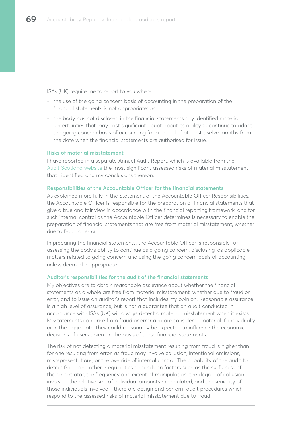ISAs (UK) require me to report to you where:

- the use of the going concern basis of accounting in the preparation of the financial statements is not appropriate; or
- the body has not disclosed in the financial statements any identified material uncertainties that may cast significant doubt about its ability to continue to adopt the going concern basis of accounting for a period of at least twelve months from the date when the financial statements are authorised for issue.

#### **Risks of material misstatement**

I have reported in a separate Annual Audit Report, which is available from the [Audit Scotland website](https://www.audit-scotland.gov.uk/our-work/annual-audits) the most significant assessed risks of material misstatement that I identified and my conclusions thereon.

#### **Responsibilities of the Accountable Officer for the financial statements**

As explained more fully in the Statement of the Accountable Officer Responsibilities, the Accountable Officer is responsible for the preparation of financial statements that give a true and fair view in accordance with the financial reporting framework, and for such internal control as the Accountable Officer determines is necessary to enable the preparation of financial statements that are free from material misstatement, whether due to fraud or error.

In preparing the financial statements, the Accountable Officer is responsible for assessing the body's ability to continue as a going concern, disclosing, as applicable, matters related to going concern and using the going concern basis of accounting unless deemed inappropriate.

#### **Auditor's responsibilities for the audit of the financial statements**

My objectives are to obtain reasonable assurance about whether the financial statements as a whole are free from material misstatement, whether due to fraud or error, and to issue an auditor's report that includes my opinion. Reasonable assurance is a high level of assurance, but is not a guarantee that an audit conducted in accordance with ISAs (UK) will always detect a material misstatement when it exists. Misstatements can arise from fraud or error and are considered material if, individually or in the aggregate, they could reasonably be expected to influence the economic decisions of users taken on the basis of these financial statements.

The risk of not detecting a material misstatement resulting from fraud is higher than for one resulting from error, as fraud may involve collusion, intentional omissions, misrepresentations, or the override of internal control. The capability of the audit to detect fraud and other irregularities depends on factors such as the skilfulness of the perpetrator, the frequency and extent of manipulation, the degree of collusion involved, the relative size of individual amounts manipulated, and the seniority of those individuals involved. I therefore design and perform audit procedures which respond to the assessed risks of material misstatement due to fraud.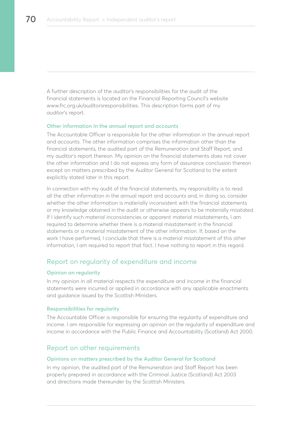A further description of the auditor's responsibilities for the audit of the financial statements is located on the Financial Reporting Council's website www.frc.org.uk/auditorsresponsibilities. This description forms part of my auditor's report.

#### **Other information in the annual report and accounts**

The Accountable Officer is responsible for the other information in the annual report and accounts. The other information comprises the information other than the financial statements, the audited part of the Remuneration and Staff Report, and my auditor's report thereon. My opinion on the financial statements does not cover the other information and I do not express any form of assurance conclusion thereon except on matters prescribed by the Auditor General for Scotland to the extent explicitly stated later in this report.

In connection with my audit of the financial statements, my responsibility is to read all the other information in the annual report and accounts and, in doing so, consider whether the other information is materially inconsistent with the financial statements or my knowledge obtained in the audit or otherwise appears to be materially misstated. If I identify such material inconsistencies or apparent material misstatements, I am required to determine whether there is a material misstatement in the financial statements or a material misstatement of the other information. If, based on the work I have performed, I conclude that there is a material misstatement of this other information, I am required to report that fact. I have nothing to report in this regard.

## Report on regularity of expenditure and income

#### **Opinion on regularity**

In my opinion in all material respects the expenditure and income in the financial statements were incurred or applied in accordance with any applicable enactments and guidance issued by the Scottish Ministers.

#### **Responsibilities for regularity**

The Accountable Officer is responsible for ensuring the regularity of expenditure and income. I am responsible for expressing an opinion on the regularity of expenditure and income in accordance with the Public Finance and Accountability (Scotland) Act 2000.

## Report on other requirements

#### **Opinions on matters prescribed by the Auditor General for Scotland**

In my opinion, the audited part of the Remuneration and Staff Report has been properly prepared in accordance with the Criminal Justice (Scotland) Act 2003 and directions made thereunder by the Scottish Ministers.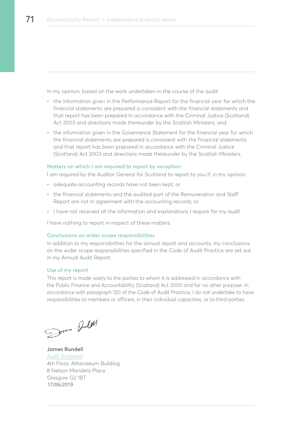In my opinion, based on the work undertaken in the course of the audit:

- the information given in the Performance Report for the financial year for which the financial statements are prepared is consistent with the financial statements and that report has been prepared in accordance with the Criminal Justice (Scotland) Act 2003 and directions made thereunder by the Scottish Ministers; and
- the information given in the Governance Statement for the financial year for which the financial statements are prepared is consistent with the financial statements and that report has been prepared in accordance with the Criminal Justice (Scotland) Act 2003 and directions made thereunder by the Scottish Ministers.

#### **Matters on which I am required to report by exception**

I am required by the Auditor General for Scotland to report to you if, in my opinion:

- adequate accounting records have not been kept; or
- the financial statements and the audited part of the Remuneration and Staff Report are not in agreement with the accounting records; or
- I have not received all the information and explanations I require for my audit.

I have nothing to report in respect of these matters.

#### **Conclusions on wider scope responsibilities**

In addition to my responsibilities for the annual report and accounts, my conclusions on the wider scope responsibilities specified in the Code of Audit Practice are set out in my Annual Audit Report.

#### **Use of my report**

This report is made solely to the parties to whom it is addressed in accordance with the Public Finance and Accountability (Scotland) Act 2000 and for no other purpose. In accordance with paragraph 120 of the Code of Audit Practice, I do not undertake to have responsibilities to members or officers, in their individual capacities, or to third parties.

Sun Bulet

**James Rundell** [Audit Scotland](https://www.audit-scotland.gov.uk) 4th Floor, Athenaeum Building 8 Nelson Mandela Place Glasgow G2 1BT 17/06/2019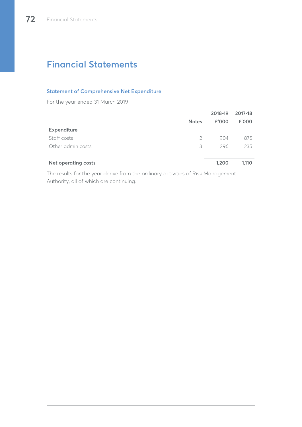# **Financial Statements**

## **Statement of Comprehensive Net Expenditure**

For the year ended 31 March 2019

|                            |              | 2018-19 | 2017-18 |
|----------------------------|--------------|---------|---------|
|                            | <b>Notes</b> | £'000   | £'000   |
| Expenditure                |              |         |         |
| Staff costs                | 2            | 904     | 875     |
| Other admin costs          | 3            | 296     | 235     |
| <b>Net operating costs</b> |              | 1,200   | 1,110   |
|                            |              |         |         |

The results for the year derive from the ordinary activities of Risk Management Authority, all of which are continuing.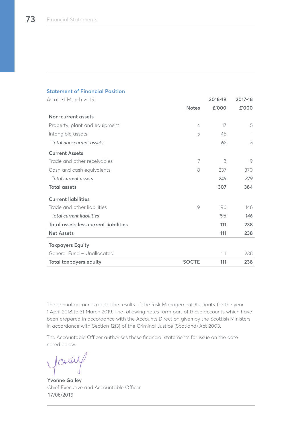| <b>Statement of Financial Position</b> |                |         |         |
|----------------------------------------|----------------|---------|---------|
| As at 31 March 2019                    |                | 2018-19 | 2017-18 |
|                                        | <b>Notes</b>   | £'000   | £'000   |
| Non-current assets                     |                |         |         |
| Property, plant and equipment          | $\overline{4}$ | 17      | 5       |
| Intangible assets                      | 5              | 45      |         |
| Total non-current assets               |                | 62      | 5       |
| <b>Current Assets</b>                  |                |         |         |
| Trade and other receivables            | 7              | 8       | 9       |
| Cash and cash equivalents              | 8              | 237     | 370     |
| Total current assets                   |                | 245     | 379     |
| <b>Total assets</b>                    |                | 307     | 384     |
| <b>Current liabilities</b>             |                |         |         |
| Trade and other liabilities            | 9              | 196     | 146     |
| Total current liabilities              |                | 196     | 146     |
| Total assets less current liabilities  |                | 111     | 238     |
| <b>Net Assets</b>                      |                | 111     | 238     |
| <b>Taxpayers Equity</b>                |                |         |         |
| General Fund - Unallocated             |                | 111     | 238     |
| <b>Total taxpayers equity</b>          | <b>SOCTE</b>   | 111     | 238     |

The annual accounts report the results of the Risk Management Authority for the year 1 April 2018 to 31 March 2019. The following notes form part of these accounts which have been prepared in accordance with the Accounts Direction given by the Scottish Ministers in accordance with Section 12(3) of the Criminal Justice (Scotland) Act 2003.

The Accountable Officer authorises these financial statements for issue on the date noted below.

Jamy

**Yvonne Gailey** Chief Executive and Accountable Officer 17/06/2019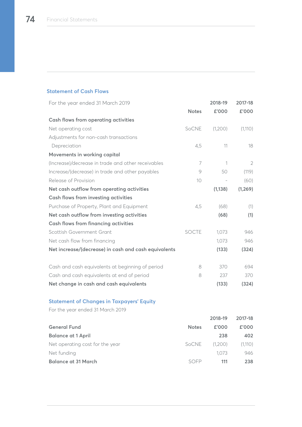## **Statement of Cash Flows**

| For the year ended 31 March 2019                     |              | 2018-19                  | 2017-18        |
|------------------------------------------------------|--------------|--------------------------|----------------|
|                                                      | <b>Notes</b> | £'000                    | £'000          |
| Cash flows from operating activities                 |              |                          |                |
| Net operating cost                                   | SoCNE        | (1,200)                  | (1,110)        |
| Adjustments for non-cash transactions                |              |                          |                |
| Depreciation                                         | 4,5          | 11                       | 18             |
| Movements in working capital                         |              |                          |                |
| (Increase)/decrease in trade and other receivables   | 7            | 1                        | $\overline{2}$ |
| Increase/(decrease) in trade and other payables      | 9            | 50                       | (119)          |
| Release of Provision                                 | 10           | $\overline{\phantom{a}}$ | (60)           |
| Net cash outflow from operating activities           |              | (1, 138)                 | (1, 269)       |
| <b>Cash flows from investing activities</b>          |              |                          |                |
| Purchase of Property, Plant and Equipment            | 4,5          | (68)                     | (1)            |
| Net cash outflow from investing activities           |              | (68)                     | (1)            |
| <b>Cash flows from financing activities</b>          |              |                          |                |
| Scottish Government Grant                            | <b>SOCTE</b> | 1,073                    | 946            |
| Net cash flow from financing                         |              | 1,073                    | 946            |
| Net increase/(decrease) in cash and cash equivalents |              | (133)                    | (324)          |
|                                                      |              |                          |                |
| Cash and cash equivalents at beginning of period     | 8            | 370                      | 694            |
| Cash and cash equivalents at end of period           | 8            | 237                      | 370            |
| Net change in cash and cash equivalents              |              | (133)                    | (324)          |

# **Statement of Changes in Taxpayers' Equity**

For the year ended 31 March 2019

|                                 |              | 2018-19 | 2017-18 |
|---------------------------------|--------------|---------|---------|
| <b>General Fund</b>             | <b>Notes</b> | £'000   | £'000   |
| <b>Balance at 1 April</b>       |              | 238     | 402     |
| Net operating cost for the year | SoCNE        | (1,200) | (1,110) |
| Net funding                     |              | 1.073   | 946     |
| <b>Balance at 31 March</b>      | SOFP         | 111     | 238     |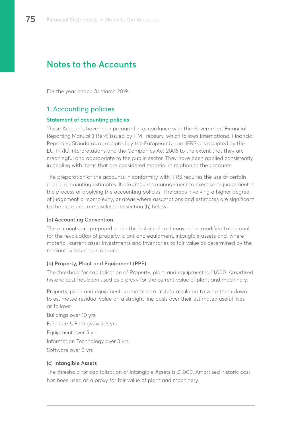# **Notes to the Accounts**

For the year ended 31 March 2019

# 1. Accounting policies

## **Statement of accounting policies**

These Accounts have been prepared in accordance with the Government Financial Reporting Manual (FReM) issued by HM Treasury, which follows International Financial Reporting Standards as adopted by the European Union (IFRSs as adopted by the EU, IFRIC Interpretations and the Companies Act 2006 to the extent that they are meaningful and appropriate to the public sector. They have been applied consistently in dealing with items that are considered material in relation to the accounts.

The preparation of the accounts in conformity with IFRS requires the use of certain critical accounting estimates. It also requires management to exercise its judgement in the process of applying the accounting policies. The areas involving a higher degree of judgement or complexity, or areas where assumptions and estimates are significant to the accounts, are disclosed in section (h) below.

## **(a) Accounting Convention**

The accounts are prepared under the historical cost convention modified to account for the revaluation of property, plant and equipment, intangible assets and, where material, current asset investments and inventories to fair value as determined by the relevant accounting standard.

## **(b) Property, Plant and Equipment (PPE)**

The threshold for capitalisation of Property, plant and equipment is £1,000. Amortised historic cost has been used as a proxy for the current value of plant and machinery.

Property, plant and equipment is amortised at rates calculated to write them down to estimated residual value on a straight line basis over their estimated useful lives as follows:

Buildings over 10 yrs Furniture & Fittings over 5 yrs Equipment over 5 yrs Information Technology over 3 yrs Software over 3 yrs

## **(c) Intangible Assets**

The threshold for capitalisation of Intangible Assets is £1,000. Amortised historic cost has been used as a proxy for fair value of plant and machinery.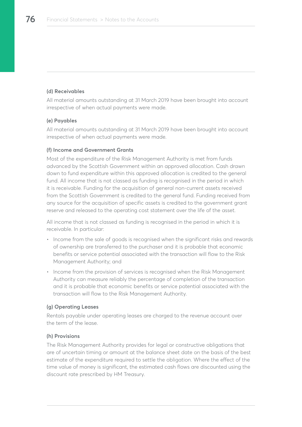## **(d) Receivables**

All material amounts outstanding at 31 March 2019 have been brought into account irrespective of when actual payments were made.

### **(e) Payables**

All material amounts outstanding at 31 March 2019 have been brought into account irrespective of when actual payments were made.

### **(f) Income and Government Grants**

Most of the expenditure of the Risk Management Authority is met from funds advanced by the Scottish Government within an approved allocation. Cash drawn down to fund expenditure within this approved allocation is credited to the general fund. All income that is not classed as funding is recognised in the period in which it is receivable. Funding for the acquisition of general non-current assets received from the Scottish Government is credited to the general fund. Funding received from any source for the acquisition of specific assets is credited to the government grant reserve and released to the operating cost statement over the life of the asset.

All income that is not classed as funding is recognised in the period in which it is receivable. In particular:

- Income from the sale of goods is recognised when the significant risks and rewards of ownership are transferred to the purchaser and it is probable that economic benefits or service potential associated with the transaction will flow to the Risk Management Authority; and
- Income from the provision of services is recognised when the Risk Management Authority can measure reliably the percentage of completion of the transaction and it is probable that economic benefits or service potential associated with the transaction will flow to the Risk Management Authority.

#### **(g) Operating Leases**

Rentals payable under operating leases are charged to the revenue account over the term of the lease.

#### **(h) Provisions**

The Risk Management Authority provides for legal or constructive obligations that are of uncertain timing or amount at the balance sheet date on the basis of the best estimate of the expenditure required to settle the obligation. Where the effect of the time value of money is significant, the estimated cash flows are discounted using the discount rate prescribed by HM Treasury.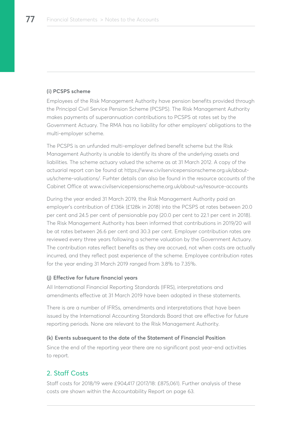### **(i) PCSPS scheme**

Employees of the Risk Management Authority have pension benefits provided through the Principal Civil Service Pension Scheme (PCSPS). The Risk Management Authority makes payments of superannuation contributions to PCSPS at rates set by the Government Actuary. The RMA has no liability for other employers' obligations to the multi-employer scheme.

The PCSPS is an unfunded multi-employer defined benefit scheme but the Risk Management Authority is unable to identify its share of the underlying assets and liabilities. The scheme actuary valued the scheme as at 31 March 2012. A copy of the actuarial report can be found at https://www.civilservicepensionscheme.org.uk/aboutus/scheme-valuations/. Furhter details can also be found in the resource accounts of the Cabinet Office at www.civilservicepensionscheme.org.uk/about-us/resource-accounts

During the year ended 31 March 2019, the Risk Management Authority paid an employer's contribution of £136k (£128k in 2018) into the PCSPS at rates between 20.0 per cent and 24.5 per cent of pensionable pay (20.0 per cent to 22.1 per cent in 2018). The Risk Management Authority has been informed that contributions in 2019/20 will be at rates between 26.6 per cent and 30.3 per cent. Employer contribution rates are reviewed every three years following a scheme valuation by the Government Actuary. The contribution rates reflect benefits as they are accrued, not when costs are actually incurred, and they reflect past experience of the scheme. Employee contribution rates for the year ending 31 March 2019 ranged from 3.8% to 7.35%.

#### **(j) Effective for future financial years**

All International Financial Reporting Standards (IFRS), interpretations and amendments effective at 31 March 2019 have been adopted in these statements.

There is are a number of IFRSs, amendments and interpretations that have been issued by the International Accounting Standards Board that are effective for future reporting periods. None are relevant to the Risk Management Authority.

#### **(k) Events subsequent to the date of the Statement of Financial Position**

Since the end of the reporting year there are no significant post year-end activities to report.

# 2. Staff Costs

Staff costs for 2018/19 were £904,417 (2017/18: £875,061). Further analysis of these costs are shown within the Accountability Report on page 63.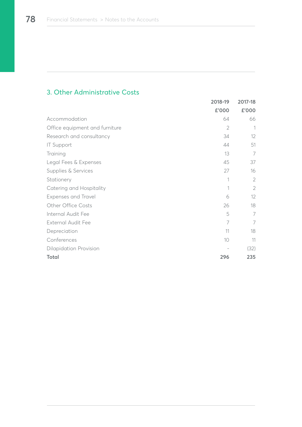# 3. Other Administrative Costs

|                                | 2018-19        | 2017-18        |
|--------------------------------|----------------|----------------|
|                                | £'000          | £'000          |
| Accommodation                  | 64             | 66             |
| Office equipment and furniture | $\overline{2}$ |                |
| Research and consultancy       | 34             | 12             |
| <b>IT Support</b>              | 44             | 51             |
| Training                       | 13             | 7              |
| Legal Fees & Expenses          | 45             | 37             |
| Supplies & Services            | 27             | 16             |
| Stationery                     | 1              | $\overline{2}$ |
| Catering and Hospitality       |                | $\overline{2}$ |
| <b>Expenses and Travel</b>     | 6              | 12             |
| Other Office Costs             | 26             | 18             |
| Internal Audit Fee             | 5              | 7              |
| <b>External Audit Fee</b>      | 7              | 7              |
| Depreciation                   | 11             | 18             |
| Conferences                    | 10             | 11             |
| <b>Dilapidation Provision</b>  |                | (32)           |
| <b>Total</b>                   | 296            | 235            |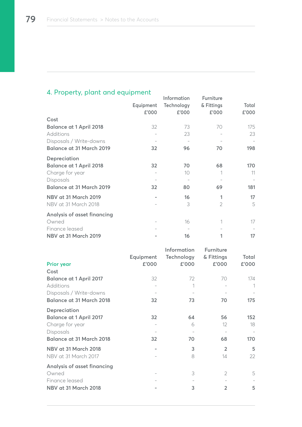# 4. Property, plant and equipment

|                                 | Equipment<br>£'000 | Information<br>Technology<br>£'000 | Furniture<br>& Fittings<br>£'000 | Total<br>£'000 |
|---------------------------------|--------------------|------------------------------------|----------------------------------|----------------|
| Cost                            |                    |                                    |                                  |                |
| <b>Balance at 1 April 2018</b>  | 32                 | 73                                 | 70                               | 175            |
| Additions                       |                    | 23                                 |                                  | 23             |
| Disposals / Write-downs         |                    |                                    |                                  |                |
| <b>Balance at 31 March 2019</b> | 32                 | 96                                 | 70                               | 198            |
| Depreciation                    |                    |                                    |                                  |                |
| <b>Balance at 1 April 2018</b>  | 32                 | 70                                 | 68                               | 170            |
| Charge for year                 |                    | 10                                 |                                  | 11             |
| Disposals                       |                    |                                    |                                  |                |
| <b>Balance at 31 March 2019</b> | 32                 | 80                                 | 69                               | 181            |
| NBV at 31 March 2019            |                    | 16                                 | 1                                | 17             |
| NBV at 31 March 2018            |                    | 3                                  | $\overline{2}$                   | 5              |
| Analysis of asset financing     |                    |                                    |                                  |                |
| Owned                           |                    | 16                                 |                                  | 17             |
| Finance leased                  |                    |                                    |                                  |                |
| <b>NBV at 31 March 2019</b>     |                    | 16                                 |                                  | 17             |

| <b>Prior year</b><br>Cost                                                                                                | Equipment<br>£'000 | <b>Information</b><br>Technology<br>£'000 | <b>Furniture</b><br>& Fittings<br>£'000 | Total<br>£'000   |
|--------------------------------------------------------------------------------------------------------------------------|--------------------|-------------------------------------------|-----------------------------------------|------------------|
| <b>Balance at 1 April 2017</b><br>Additions                                                                              | 32                 | 72<br>1                                   | 70                                      | 174<br>1         |
| Disposals / Write-downs<br><b>Balance at 31 March 2018</b>                                                               | 32                 | 73                                        | 70                                      | 175              |
| <b>Depreciation</b><br><b>Balance at 1 April 2017</b><br>Charge for year<br>Disposals<br><b>Balance at 31 March 2018</b> | 32<br>32           | 64<br>6<br>70                             | 56<br>12<br>68                          | 152<br>18<br>170 |
| NBV at 31 March 2018<br>NBV at 31 March 2017                                                                             |                    | 3<br>8                                    | $\overline{2}$<br>14                    | 5<br>22          |
| Analysis of asset financing<br>Owned<br>Finance leased<br>NBV at 31 March 2018                                           |                    | 3<br>3                                    | $\overline{2}$<br>$\overline{2}$        | 5<br>5           |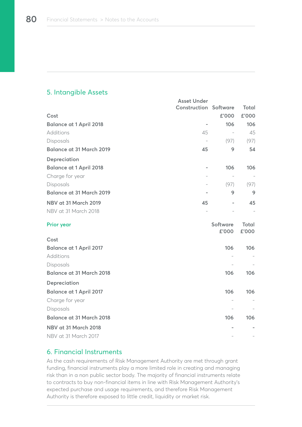# 5. Intangible Assets

|                                 | <b>Asset Under</b>           |                          |                       |
|---------------------------------|------------------------------|--------------------------|-----------------------|
|                                 | <b>Construction Software</b> |                          | Total                 |
| Cost                            |                              | £'000                    | £'000                 |
| <b>Balance at 1 April 2018</b>  | ÷                            | 106                      | 106                   |
| Additions                       | 45                           |                          | 45                    |
| Disposals                       | $\overline{\phantom{a}}$     | (97)                     | (97)                  |
| <b>Balance at 31 March 2019</b> | 45                           | 9                        | 54                    |
| Depreciation                    |                              |                          |                       |
| <b>Balance at 1 April 2018</b>  | $\overline{a}$               | 106                      | 106                   |
| Charge for year                 | $\overline{a}$               | $\overline{\phantom{a}}$ |                       |
| Disposals                       |                              | (97)                     | (97)                  |
| <b>Balance at 31 March 2019</b> |                              | 9                        | 9                     |
| NBV at 31 March 2019            | 45                           | -                        | 45                    |
| NBV at 31 March 2018            |                              |                          |                       |
| <b>Prior year</b>               |                              | <b>Software</b><br>£'000 | <b>Total</b><br>£'000 |
| Cost                            |                              |                          |                       |
| <b>Balance at 1 April 2017</b>  |                              | 106                      | 106                   |
| Additions                       |                              |                          |                       |
| Disposals                       |                              |                          |                       |
| <b>Balance at 31 March 2018</b> |                              | 106                      | 106                   |
| Depreciation                    |                              |                          |                       |
| <b>Balance at 1 April 2017</b>  |                              | 106                      | 106                   |
| Charge for year                 |                              | $\overline{\phantom{0}}$ |                       |
| Disposals                       |                              |                          |                       |
| <b>Balance at 31 March 2018</b> |                              | 106                      | 106                   |
| NBV at 31 March 2018            |                              |                          |                       |
| NBV at 31 March 2017            |                              |                          |                       |

## 6. Financial Instruments

As the cash requirements of Risk Management Authority are met through grant funding, financial instruments play a more limited role in creating and managing risk than in a non public sector body. The majority of financial instruments relate to contracts to buy non-financial items in line with Risk Management Authority's expected purchase and usage requirements, and therefore Risk Management Authority is therefore exposed to little credit, liquidity or market risk.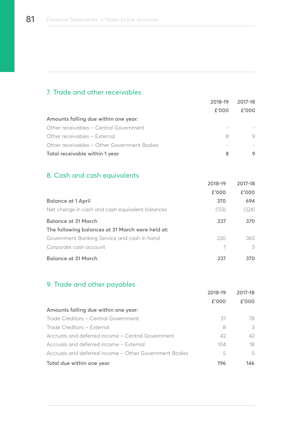# 7. Trade and other receivables

|                                             | 2018-19 | 2017-18 |
|---------------------------------------------|---------|---------|
|                                             | £'000   | f'000   |
| Amounts falling due within one year:        |         |         |
| Other receivables - Central Government      |         |         |
| Other receivables - External                | 8       |         |
| Other receivables - Other Government Bodies |         |         |
| Total receivable within 1 year              | 8       |         |

# 8. Cash and cash equivalents

|                                                  | 2018-19 | 2017-18 |
|--------------------------------------------------|---------|---------|
|                                                  | £'000   | £'000   |
| <b>Balance at 1 April</b>                        | 370     | 694     |
| Net change in cash and cash equivalent balances  | (133)   | (324)   |
| <b>Balance at 31 March</b>                       | 237     | 370     |
| The following balances at 31 March were held at: |         |         |
| Government Banking Service and cash in hand      | 230     | 365     |
| Corporate cash account                           |         | 5       |
| <b>Balance at 31 March</b>                       | 237     | 370     |

# 9. Trade and other payables

|                                                        | 2018-19 | 2017-18 |
|--------------------------------------------------------|---------|---------|
|                                                        | £'000   | £'000   |
| Amounts falling due within one year:                   |         |         |
| Trade Creditors - Central Government                   | 37      | 78      |
| Trade Creditors - External                             | 8       | 3       |
| Accruals and deferred income - Central Government      | 42      | 42      |
| Accruals and deferred income - External                | 104     | 18      |
| Accruals and deferred income - Other Government Bodies | 5       | 5       |
| Total due within one year                              | 196     | 146.    |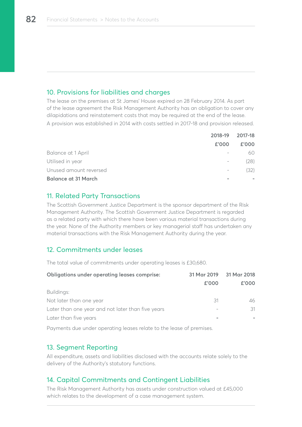# 10. Provisions for liabilities and charges

The lease on the premises at St James' House expired on 28 February 2014. As part of the lease agreement the Risk Management Authority has an obligation to cover any dilapidations and reinstatement costs that may be required at the end of the lease.

A provision was established in 2014 with costs settled in 2017-18 and provision released.

|                            | 2018-19 2017-18 |       |
|----------------------------|-----------------|-------|
|                            | £'000           | £'000 |
| Balance at 1 April         |                 | 60    |
| Utilised in year           | $-$             | (28)  |
| Unused amount reversed     | $-$             | (32)  |
| <b>Balance at 31 March</b> |                 |       |

# 11. Related Party Transactions

The Scottish Government Justice Department is the sponsor department of the Risk Management Authority. The Scottish Government Justice Department is regarded as a related party with which there have been various material transactions during the year. None of the Authority members or key managerial staff has undertaken any material transactions with the Risk Management Authority during the year.

# 12. Commitments under leases

The total value of commitments under operating leases is £30,680.

| <b>Obligations under operating leases comprise:</b> | 31 Mar 2019<br>£'000 | 31 Mar 2018<br>£'000 |
|-----------------------------------------------------|----------------------|----------------------|
| Buildings:                                          |                      |                      |
| Not later than one year                             | 31                   | 46                   |
| Later than one year and not later than five years   |                      | 31                   |
| Later than five years                               |                      |                      |

Payments due under operating leases relate to the lease of premises.

# 13. Segment Reporting

All expenditure, assets and liabilities disclosed with the accounts relate solely to the delivery of the Authority's statutory functions.

# 14. Capital Commitments and Contingent Liabilities

The Risk Management Authority has assets under construction valued at £45,000 which relates to the development of a case management system.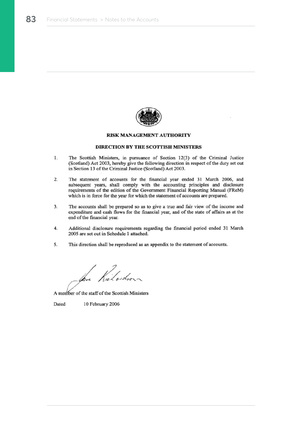

#### **RISK MANAGEMENT AUTHORITY**

#### **DIRECTION BY THE SCOTTISH MINISTERS**

- $1.$ The Scottish Ministers, in pursuance of Section 12(3) of the Criminal Justice (Scotland) Act 2003, hereby give the following direction in respect of the duty set out in Section 13 of the Criminal Justice (Scotland) Act 2003.
- The statement of accounts for the financial year ended 31 March 2006, and 2. subsequent years, shall comply with the accounting principles and disclosure requirements of the edition of the Government Financial Reporting Manual (FReM) which is in force for the year for which the statement of accounts are prepared.
- $3.$ The accounts shall be prepared so as to give a true and fair view of the income and expenditure and cash flows for the financial year, and of the state of affairs as at the end of the financial year.
- 4. Additional disclosure requirements regarding the financial period ended 31 March 2005 are set out in Schedule 1 attached.
- This direction shall be reproduced as an appendix to the statement of accounts. 5.

Kilodon

A member of the staff of the Scottish Ministers

Dated 10 February 2006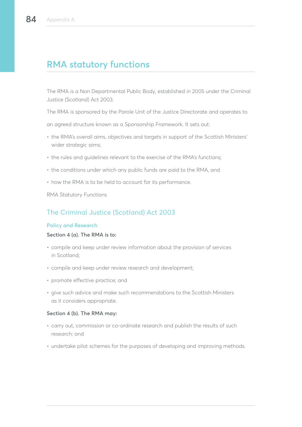# **RMA statutory functions**

The RMA is a Non Departmental Public Body, established in 2005 under the Criminal Justice (Scotland) Act 2003.

The RMA is sponsored by the Parole Unit of the Justice Directorate and operates to

an agreed structure known as a Sponsorship Framework. It sets out:

- the RMA's overall aims, objectives and targets in support of the Scottish Ministers' wider strategic aims;
- the rules and guidelines relevant to the exercise of the RMA's functions;
- the conditions under which any public funds are paid to the RMA, and
- how the RMA is to be held to account for its performance.

RMA Statutory Functions

# The Criminal Justice (Scotland) Act 2003

#### **Policy and Research**

#### **Section 4 (a). The RMA is to:**

- compile and keep under review information about the provision of services in Scotland;
- compile and keep under review research and development;
- promote effective practice; and
- give such advice and make such recommendations to the Scottish Ministers as it considers appropriate.

### **Section 4 (b). The RMA may:**

- carry out, commission or co-ordinate research and publish the results of such research; and
- undertake pilot schemes for the purposes of developing and improving methods.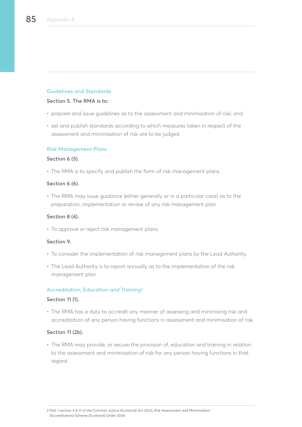## **Guidelines and Standards**

#### **Section 5. The RMA is to:**

- prepare and issue guidelines as to the assessment and minimisation of risk; and
- set and publish standards according to which measures taken in respect of the assessment and minimisation of risk are to be judged.

#### **Risk Management Plans**

#### **Section 6 (5).**

• The RMA is to specify and publish the form of risk management plans.

### **Section 6 (6).**

• The RMA may issue guidance (either generally or in a particular case) as to the preparation, implementation or review of any risk management plan.

## **Section 8 (4).**

• To approve or reject risk management plans.

## **Section 9.**

- To consider the implementation of risk management plans by the Lead Authority.
- The Lead Authority is to report annually as to the implementation of the risk management plan.

## **Accreditation, Education and Training3**

#### **Section 11 (1).**

• The RMA has a duty to accredit any manner of assessing and minimising risk and accreditation of any person having functions in assessment and minimisation of risk.

## **Section 11 (2b).**

• The RMA may provide, or secure the provision of, education and training in relation to the assessment and minimisation of risk for any person having functions in that regard.

<sup>3</sup> Part 1 section 4 & 11 of the Criminal Justice (Scotland) Act 2003, Risk Assessment and Minimisation (Accreditation) Scheme (Scotland) Order 2006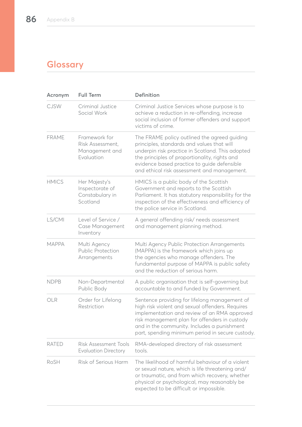# **Glossary**

| Acronym      | <b>Full Term</b>                                                  | <b>Definition</b>                                                                                                                                                                                                                                                                                     |
|--------------|-------------------------------------------------------------------|-------------------------------------------------------------------------------------------------------------------------------------------------------------------------------------------------------------------------------------------------------------------------------------------------------|
| <b>CJSW</b>  | Criminal Justice<br>Social Work                                   | Criminal Justice Services whose purpose is to<br>achieve a reduction in re-offending, increase<br>social inclusion of former offenders and support<br>victims of crime.                                                                                                                               |
| <b>FRAME</b> | Framework for<br>Risk Assessment,<br>Management and<br>Evaluation | The FRAME policy outlined the agreed guiding<br>principles, standards and values that will<br>underpin risk practice in Scotland. This adopted<br>the principles of proportionality, rights and<br>evidence based practice to guide defensible<br>and ethical risk assessment and management.         |
| <b>HMICS</b> | Her Majesty's<br>Inspectorate of<br>Constabulary in<br>Scotland   | HMICS is a public body of the Scottish<br>Government and reports to the Scottish<br>Parliament. It has statutory responsibility for the<br>inspection of the effectiveness and efficiency of<br>the police service in Scotland.                                                                       |
| LS/CMI       | Level of Service /<br>Case Management<br>Inventory                | A general offending risk/ needs assessment<br>and management planning method.                                                                                                                                                                                                                         |
| <b>MAPPA</b> | Multi Agency<br><b>Public Protection</b><br>Arrangements          | Multi Agency Public Protection Arrangements<br>(MAPPA) is the framework which joins up<br>the agencies who manage offenders. The<br>fundamental purpose of MAPPA is public safety<br>and the reduction of serious harm.                                                                               |
| <b>NDPB</b>  | Non-Departmental<br>Public Body                                   | A public organisation that is self-governing but<br>accountable to and funded by Government.                                                                                                                                                                                                          |
| OLR          | Order for Lifelong<br>Restriction                                 | Sentence providing for lifelong management of<br>high risk violent and sexual offenders. Requires<br>implementation and review of an RMA approved<br>risk management plan for offenders in custody<br>and in the community. Includes a punishment<br>part, spending minimum period in secure custody. |
| <b>RATED</b> | Risk Assessment Tools<br><b>Evaluation Directory</b>              | RMA-developed directory of risk assessment<br>tools.                                                                                                                                                                                                                                                  |
| RoSH         | Risk of Serious Harm                                              | The likelihood of harmful behaviour of a violent<br>or sexual nature, which is life threatening and/<br>or traumatic, and from which recovery, whether<br>physical or psychological, may reasonably be<br>expected to be difficult or impossible.                                                     |